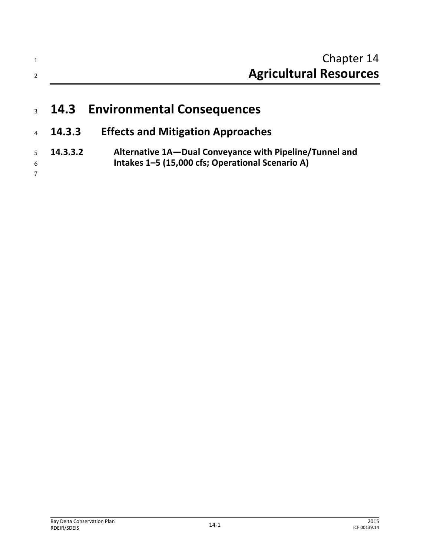|             | Chapter 14<br><b>Agricultural Resources</b>             |
|-------------|---------------------------------------------------------|
|             |                                                         |
| <b>14.3</b> | <b>Environmental Consequences</b>                       |
| 14.3.3      | <b>Effects and Mitigation Approaches</b>                |
| 14.3.3.2    | Alternative 1A-Dual Conveyance with Pipeline/Tunnel and |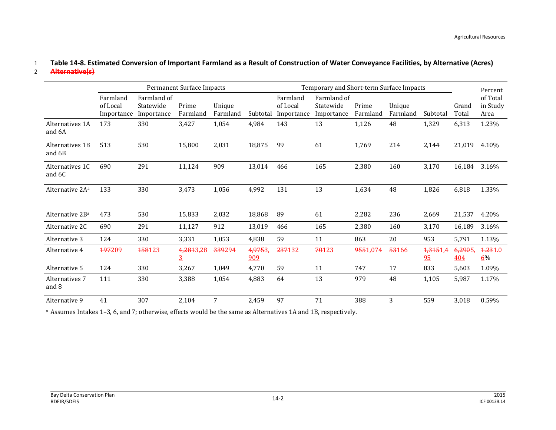#### 1 **Table 14-8. Estimated Conversion of Important Farmland as a Result of Construction of Water Conveyance Facilities, by Alternative (Acres)**  2 **Alternative(s)**

|                                                                                                                           | Permanent Surface Impacts          |                                        |                             |                    | Temporary and Short-term Surface Impacts |                                    |                                        |                   |                    | Percent               |                |                              |
|---------------------------------------------------------------------------------------------------------------------------|------------------------------------|----------------------------------------|-----------------------------|--------------------|------------------------------------------|------------------------------------|----------------------------------------|-------------------|--------------------|-----------------------|----------------|------------------------------|
|                                                                                                                           | Farmland<br>of Local<br>Importance | Farmland of<br>Statewide<br>Importance | Prime<br>Farmland           | Unique<br>Farmland | Subtotal                                 | Farmland<br>of Local<br>Importance | Farmland of<br>Statewide<br>Importance | Prime<br>Farmland | Unique<br>Farmland | Subtotal              | Grand<br>Total | of Total<br>in Study<br>Area |
| Alternatives 1A<br>and 6A                                                                                                 | 173                                | 330                                    | 3,427                       | 1,054              | 4,984                                    | 143                                | 13                                     | 1,126             | 48                 | 1,329                 | 6,313          | 1.23%                        |
| Alternatives 1B<br>and 6B                                                                                                 | 513                                | 530                                    | 15,800                      | 2,031              | 18,875                                   | 99                                 | 61                                     | 1,769             | 214                | 2,144                 | 21,019         | 4.10%                        |
| Alternatives 1C<br>and 6C                                                                                                 | 690                                | 291                                    | 11,124                      | 909                | 13,014                                   | 466                                | 165                                    | 2,380             | 160                | 3,170                 | 16,184         | 3.16%                        |
| Alternative 2A <sup>a</sup>                                                                                               | 133                                | 330                                    | 3,473                       | 1,056              | 4,992                                    | 131                                | 13                                     | 1,634             | 48                 | 1,826                 | 6,818          | 1.33%                        |
| Alternative 2B <sup>a</sup>                                                                                               | 473                                | 530                                    | 15,833                      | 2,032              | 18,868                                   | 89                                 | 61                                     | 2,282             | 236                | 2,669                 | 21,537         | 4.20%                        |
| Alternative 2C                                                                                                            | 690                                | 291                                    | 11,127                      | 912                | 13,019                                   | 466                                | 165                                    | 2,380             | 160                | 3,170                 | 16,189         | 3.16%                        |
| Alternative 3                                                                                                             | 124                                | 330                                    | 3,331                       | 1,053              | 4,838                                    | 59                                 | 11                                     | 863               | 20                 | 953                   | 5,791          | 1.13%                        |
| Alternative 4                                                                                                             | 197209                             | 158123                                 | 4,2813,28<br>$\overline{3}$ | 339294             | 4,9753,<br><u>909</u>                    | 237132                             | 70123                                  | 9551,074          | 53166              | 1,3151,4<br><u>95</u> | 6,2905,<br>404 | 1.231.0<br>6%                |
| Alternative 5                                                                                                             | 124                                | 330                                    | 3,267                       | 1,049              | 4,770                                    | 59                                 | 11                                     | 747               | 17                 | 833                   | 5,603          | 1.09%                        |
| Alternatives 7<br>and 8                                                                                                   | 111                                | 330                                    | 3,388                       | 1,054              | 4,883                                    | 64                                 | 13                                     | 979               | 48                 | 1,105                 | 5,987          | 1.17%                        |
| Alternative 9                                                                                                             | 41                                 | 307                                    | 2,104                       | $\overline{7}$     | 2,459                                    | 97                                 | 71                                     | 388               | 3                  | 559                   | 3,018          | 0.59%                        |
| <sup>a</sup> Assumes Intakes 1–3, 6, and 7; otherwise, effects would be the same as Alternatives 1A and 1B, respectively. |                                    |                                        |                             |                    |                                          |                                    |                                        |                   |                    |                       |                |                              |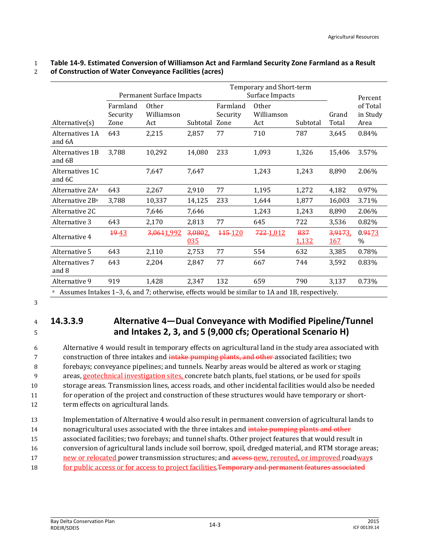#### 1 **Table 14-9. Estimated Conversion of Williamson Act and Farmland Security Zone Farmland as a Result** 2 **of Construction of Water Conveyance Facilities (acres)** Permanent Surface Impacts Temporary and Short-term Surface Impacts Grand Percent of Total in Study Farmland Security Other Williamson Farmland Security Other Williamson

|                                                                                                | Security | Williamson |                      | Security            | Williamson |              | Grand                  | in Study       |
|------------------------------------------------------------------------------------------------|----------|------------|----------------------|---------------------|------------|--------------|------------------------|----------------|
| Alternate(s)                                                                                   | Zone     | Act        | Subtotal             | Zone                | Act        | Subtotal     | Total                  | Area           |
| Alternatives 1A<br>and 6A                                                                      | 643      | 2,215      | 2,857                | 77                  | 710        | 787          | 3,645                  | 0.84%          |
| Alternatives 1B<br>and 6B                                                                      | 3.788    | 10,292     | 14,080               | 233                 | 1,093      | 1,326        | 15,406                 | 3.57%          |
| Alternatives 1C<br>and 6C                                                                      |          | 7,647      | 7,647                |                     | 1,243      | 1,243        | 8,890                  | 2.06%          |
| Alternative 2A <sup>a</sup>                                                                    | 643      | 2,267      | 2,910                | 77                  | 1,195      | 1,272        | 4,182                  | 0.97%          |
| Alternative 2B <sup>a</sup>                                                                    | 3,788    | 10,337     | 14,125               | 233                 | 1,644      | 1,877        | 16,003                 | 3.71%          |
| Alternative 2C                                                                                 |          | 7,646      | 7,646                |                     | 1,243      | 1,243        | 8,890                  | 2.06%          |
| Alternative 3                                                                                  | 643      | 2,170      | 2,813                | 77                  | 645        | 722          | 3,536                  | 0.82%          |
| Alternative 4                                                                                  | 1943     | 3,0611,992 | 3,0802<br><u>035</u> | <del>115</del> -120 | 722-1,012  | 837<br>1,132 | 3,9173,<br><u> 167</u> | 0.9473<br>$\%$ |
| Alternative 5                                                                                  | 643      | 2,110      | 2,753                | 77                  | 554        | 632          | 3,385                  | 0.78%          |
| Alternatives 7<br>and 8                                                                        | 643      | 2,204      | 2,847                | 77                  | 667        | 744          | 3,592                  | 0.83%          |
| Alternative 9                                                                                  | 919      | 1,428      | 2,347                | 132                 | 659        | 790          | 3,137                  | 0.73%          |
| Assumes Intakes 1-3, 6, and 7; otherwise, effects would be similar to 1A and 1B, respectively. |          |            |                      |                     |            |              |                        |                |

3

# <sup>4</sup> **14.3.3.9 Alternative 4—Dual Conveyance with Modified Pipeline/Tunnel** <sup>5</sup> **and Intakes 2, 3, and 5 (9,000 cfs; Operational Scenario H)**

 Alternative 4 would result in temporary effects on agricultural land in the study area associated with 7 construction of three intakes and intake pumping plants, and other associated facilities; two forebays; conveyance pipelines; and tunnels. Nearby areas would be altered as work or staging areas, geotechnical investigation sites, concrete batch plants, fuel stations, or be used for spoils storage areas. Transmission lines, access roads, and other incidental facilities would also be needed for operation of the project and construction of these structures would have temporary or short-term effects on agricultural lands.

 Implementation of Alternative 4 would also result in permanent conversion of agricultural lands to 14 nonagricultural uses associated with the three intakes and intake pumping plants and other associated facilities; two forebays; and tunnel shafts. Other project features that would result in conversion of agricultural lands include soil borrow, spoil, dredged material, and RTM storage areas; 17 new or relocated power transmission structures; and access-new, rerouted, or improved roadways **for public access or for access to project facilities. Temporary and permanent features associated** 

Bay Delta Conservation Plan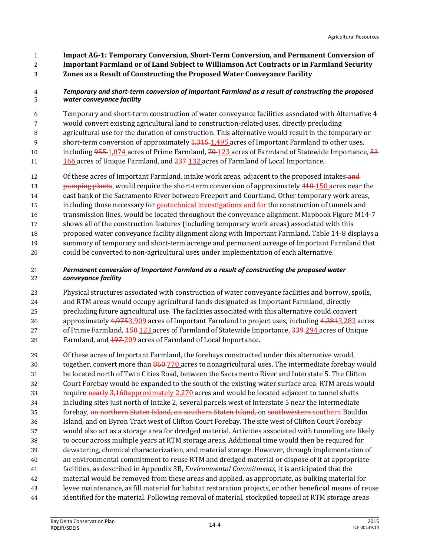**Impact AG-1: Temporary Conversion, Short-Term Conversion, and Permanent Conversion of** 

 **Important Farmland or of Land Subject to Williamson Act Contracts or in Farmland Security Zones as a Result of Constructing the Proposed Water Conveyance Facility**

#### *Temporary and short-term conversion of Important Farmland as a result of constructing the proposed water conveyance facility*

- Temporary and short-term construction of water conveyance facilities associated with Alternative 4
- would convert existing agricultural land to construction-related uses, directly precluding
- agricultural use for the duration of construction. This alternative would result in the temporary or
- 9 short-term conversion of approximately  $\frac{1}{2}$ ,  $\frac{315}{1}$ , 495 acres of Important Farmland to other uses,
- 10 including 955-1,074 acres of Prime Farmland, 70-123 acres of Farmland of Statewide Importance, 53
- 11 166 acres of Unique Farmland, and  $\frac{237 132}{2}$  acres of Farmland of Local Importance.
- 12 Of these acres of Important Farmland, intake work areas, adjacent to the proposed intakes and
- **pumping plants**, would require the short-term conversion of approximately 410 150 acres near the
- east bank of the Sacramento River between Freeport and Courtland. Other temporary work areas,
- 15 including those necessary for geotechnical investigations and for the construction of tunnels and
- transmission lines, would be located throughout the conveyance alignment. Mapbook Figure M14-7
- shows all of the construction features (including temporary work areas) associated with this
- proposed water conveyance facility alignment along with Important Farmland. Table 14-8 displays a summary of temporary and short-term acreage and permanent acreage of Important Farmland that
- could be converted to non-agricultural uses under implementation of each alternative.

# *Permanent conversion of Important Farmland as a result of constructing the proposed water conveyance facility*

- Physical structures associated with construction of water conveyance facilities and borrow, spoils, and RTM areas would occupy agricultural lands designated as Important Farmland, directly precluding future agricultural use. The facilities associated with this alternative could convert approximately 4,9753,909 acres of Important Farmland to project uses, including 4,2813,283 acres 27 of Prime Farmland, 158-123 acres of Farmland of Statewide Importance, 339-294 acres of Unique 28 Farmland, and  $\frac{197-209}{200}$  acres of Farmland of Local Importance.
- Of these acres of Important Farmland, the forebays constructed under this alternative would, 30 together, convert more than  $\frac{860-770}{20}$  acres to nonagricultural uses. The intermediate forebay would be located north of Twin Cities Road, between the Sacramento River and Interstate 5. The Clifton Court Forebay would be expanded to the south of the existing water surface area. RTM areas would 33 require nearly 3,160approximately 2,270 acres and would be located adjacent to tunnel shafts including sites just north of Intake 2, several parcels west of Interstate 5 near the intermediate forebay, on northern Staten Island, on southern Staten Island, on southwestern southern Bouldin Island, and on Byron Tract west of Clifton Court Forebay. The site west of Clifton Court Forebay would also act as a storage area for dredged material. Activities associated with tunneling are likely to occur across multiple years at RTM storage areas. Additional time would then be required for dewatering, chemical characterization, and material storage. However, through implementation of an environmental commitment to reuse RTM and dredged material or dispose of it at appropriate facilities, as described in Appendix 3B, *Environmental Commitments*, it is anticipated that the material would be removed from these areas and applied, as appropriate, as bulking material for levee maintenance, as fill material for habitat restoration projects, or other beneficial means of reuse identified for the material. Following removal of material, stockpiled topsoil at RTM storage areas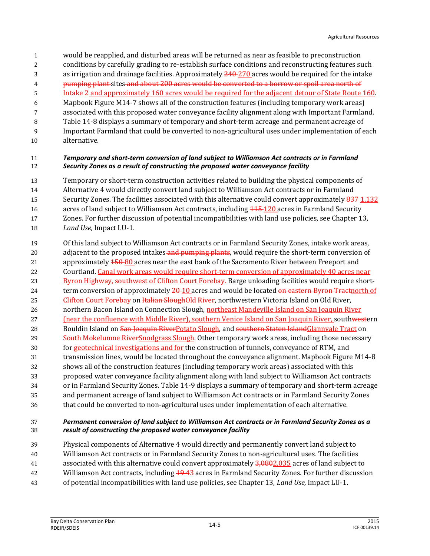- would be reapplied, and disturbed areas will be returned as near as feasible to preconstruction
- conditions by carefully grading to re-establish surface conditions and reconstructing features such
- 3 as irrigation and drainage facilities. Approximately 240-270 acres would be required for the intake
- **pumping plant** sites and about 200 acres would be converted to a borrow or spoil area north of
- Intake 2 and approximately 160 acres would be required for the adjacent detour of State Route 160. Mapbook Figure M14-7 shows all of the construction features (including temporary work areas)
- associated with this proposed water conveyance facility alignment along with Important Farmland.
- Table 14-8 displays a summary of temporary and short-term acreage and permanent acreage of
- Important Farmland that could be converted to non-agricultural uses under implementation of each
- alternative.

#### *Temporary and short-term conversion of land subject to Williamson Act contracts or in Farmland Security Zones as a result of constructing the proposed water conveyance facility*

- Temporary or short-term construction activities related to building the physical components of
- Alternative 4 would directly convert land subject to Williamson Act contracts or in Farmland
- 15 Security Zones. The facilities associated with this alternative could convert approximately 837–1,132
- 16 acres of land subject to Williamson Act contracts, including  $\frac{115}{120}$  acres in Farmland Security
- Zones. For further discussion of potential incompatibilities with land use policies, see Chapter 13,
- *Land Use,* Impact LU-1.
- Of this land subject to Williamson Act contracts or in Farmland Security Zones, intake work areas, 20 adjacent to the proposed intakes and pumping plants, would require the short-term conversion of 21 approximately  $\frac{150 - 80}{20}$  acres near the east bank of the Sacramento River between Freeport and Courtland. Canal work areas would require short-term conversion of approximately 40 acres near Byron Highway, southwest of Clifton Court Forebay. Barge unloading facilities would require short-24 term conversion of approximately 20-10 acres and would be located on eastern Byron Tractnorth of 25 Clifton Court Forebay on Halian SloughOld River, northwestern Victoria Island on Old River, northern Bacon Island on Connection Slough, northeast Mandeville Island on San Joaquin River 27 (near the confluence with Middle River), southern Venice Island on San Joaquin River, southwestern 28 Bouldin Island on San Joaquin RiverPotato Slough, and southern Staten IslandGlannvale Tract on 29 South Mokelumne RiverSnodgrass Slough. Other temporary work areas, including those necessary 30 for geotechnical investigations and for the construction of tunnels, conveyance of RTM, and transmission lines, would be located throughout the conveyance alignment. Mapbook Figure M14-8 shows all of the construction features (including temporary work areas) associated with this proposed water conveyance facility alignment along with land subject to Williamson Act contracts or in Farmland Security Zones. Table 14-9 displays a summary of temporary and short-term acreage and permanent acreage of land subject to Williamson Act contracts or in Farmland Security Zones
- that could be converted to non-agricultural uses under implementation of each alternative.

#### *Permanent conversion of land subject to Williamson Act contracts or in Farmland Security Zones as a result of constructing the proposed water conveyance facility*

- Physical components of Alternative 4 would directly and permanently convert land subject to
- Williamson Act contracts or in Farmland Security Zones to non-agricultural uses. The facilities
- 41 associated with this alternative could convert approximately 3,0802,035 acres of land subject to
- Williamson Act contracts, including 19 43 acres in Farmland Security Zones. For further discussion
- of potential incompatibilities with land use policies, see Chapter 13, *Land Use,* Impact LU-1.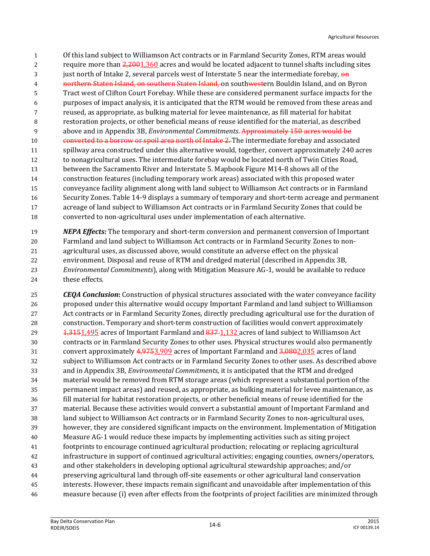Of this land subject to Williamson Act contracts or in Farmland Security Zones, RTM areas would 2 require more than  $2,2001,360$  acres and would be located adjacent to tunnel shafts including sites 3 just north of Intake 2, several parcels west of Interstate 5 near the intermediate forebay,  $\theta$ **12 northern Staten Island, on southern Staten Island, on southwestern Bouldin Island, and on Byron**  Tract west of Clifton Court Forebay. While these are considered permanent surface impacts for the purposes of impact analysis, it is anticipated that the RTM would be removed from these areas and reused, as appropriate, as bulking material for levee maintenance, as fill material for habitat restoration projects, or other beneficial means of reuse identified for the material, as described above and in Appendix 3B, *Environmental Commitments*. Approximately 150 acres would be 10 converted to a borrow or spoil area north of Intake 2. The intermediate forebay and associated spillway area constructed under this alternative would, together, convert approximately 240 acres to nonagricultural uses. The intermediate forebay would be located north of Twin Cities Road, between the Sacramento River and Interstate 5. Mapbook Figure M14-8 shows all of the construction features (including temporary work areas) associated with this proposed water conveyance facility alignment along with land subject to Williamson Act contracts or in Farmland Security Zones. Table 14-9 displays a summary of temporary and short-term acreage and permanent acreage of land subject to Williamson Act contracts or in Farmland Security Zones that could be converted to non-agricultural uses under implementation of each alternative.

 *NEPA Effects:* The temporary and short-term conversion and permanent conversion of Important Farmland and land subject to Williamson Act contracts or in Farmland Security Zones to non- agricultural uses, as discussed above, would constitute an adverse effect on the physical environment. Disposal and reuse of RTM and dredged material (described in Appendix 3B, *Environmental Commitments*), along with Mitigation Measure AG-1, would be available to reduce these effects.

 *CEQA Conclusion***:** Construction of physical structures associated with the water conveyance facility proposed under this alternative would occupy Important Farmland and land subject to Williamson Act contracts or in Farmland Security Zones, directly precluding agricultural use for the duration of construction. Temporary and short-term construction of facilities would convert approximately 29 1,3151,495 acres of Important Farmland and  $\frac{837-1,132}{2}$  acres of land subject to Williamson Act contracts or in Farmland Security Zones to other uses. Physical structures would also permanently 31 convert approximately 4,9753,909 acres of Important Farmland and 3,0802,035 acres of land subject to Williamson Act contracts or in Farmland Security Zones to other uses. As described above and in Appendix 3B, *Environmental Commitments*, it is anticipated that the RTM and dredged material would be removed from RTM storage areas (which represent a substantial portion of the permanent impact areas) and reused, as appropriate, as bulking material for levee maintenance, as fill material for habitat restoration projects, or other beneficial means of reuse identified for the material. Because these activities would convert a substantial amount of Important Farmland and land subject to Williamson Act contracts or in Farmland Security Zones to non-agricultural uses, however, they are considered significant impacts on the environment. Implementation of Mitigation Measure AG-1 would reduce these impacts by implementing activities such as siting project footprints to encourage continued agricultural production; relocating or replacing agricultural infrastructure in support of continued agricultural activities; engaging counties, owners/operators, and other stakeholders in developing optional agricultural stewardship approaches; and/or preserving agricultural land through off-site easements or other agricultural land conservation interests. However, these impacts remain significant and unavoidable after implementation of this measure because (i) even after effects from the footprints of project facilities are minimized through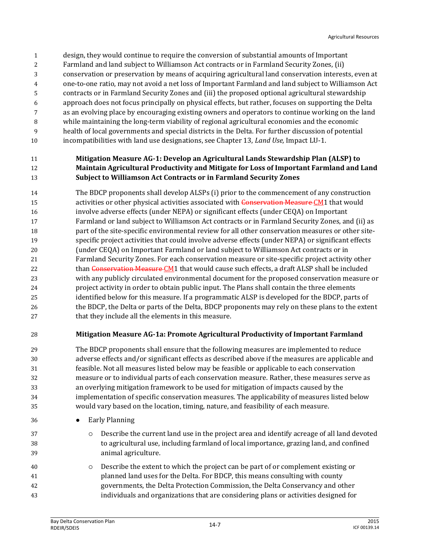- design, they would continue to require the conversion of substantial amounts of Important
- Farmland and land subject to Williamson Act contracts or in Farmland Security Zones, (ii)
- conservation or preservation by means of acquiring agricultural land conservation interests, even at
- one-to-one ratio, may not avoid a net loss of Important Farmland and land subject to Williamson Act
- contracts or in Farmland Security Zones and (iii) the proposed optional agricultural stewardship
- approach does not focus principally on physical effects, but rather, focuses on supporting the Delta as an evolving place by encouraging existing owners and operators to continue working on the land
- while maintaining the long-term viability of regional agricultural economies and the economic
- health of local governments and special districts in the Delta. For further discussion of potential
- incompatibilities with land use designations, see Chapter 13, *Land Use,* Impact LU-1.

# **Mitigation Measure AG-1: Develop an Agricultural Lands Stewardship Plan (ALSP) to Maintain Agricultural Productivity and Mitigate for Loss of Important Farmland and Land Subject to Williamson Act Contracts or in Farmland Security Zones**

 The BDCP proponents shall develop ALSPs (i) prior to the commencement of any construction 15 activities or other physical activities associated with Conservation Measure CM1 that would involve adverse effects (under NEPA) or significant effects (under CEQA) on Important Farmland or land subject to Williamson Act contracts or in Farmland Security Zones, and (ii) as part of the site-specific environmental review for all other conservation measures or other site- specific project activities that could involve adverse effects (under NEPA) or significant effects (under CEQA) on Important Farmland or land subject to Williamson Act contracts or in Farmland Security Zones. For each conservation measure or site-specific project activity other 22 than Conservation Measure CM1 that would cause such effects, a draft ALSP shall be included with any publicly circulated environmental document for the proposed conservation measure or project activity in order to obtain public input. The Plans shall contain the three elements identified below for this measure. If a programmatic ALSP is developed for the BDCP, parts of the BDCP, the Delta or parts of the Delta, BDCP proponents may rely on these plans to the extent that they include all the elements in this measure.

# **Mitigation Measure AG-1a: Promote Agricultural Productivity of Important Farmland**

- The BDCP proponents shall ensure that the following measures are implemented to reduce adverse effects and/or significant effects as described above if the measures are applicable and feasible. Not all measures listed below may be feasible or applicable to each conservation measure or to individual parts of each conservation measure. Rather, these measures serve as an overlying mitigation framework to be used for mitigation of impacts caused by the implementation of specific conservation measures. The applicability of measures listed below would vary based on the location, timing, nature, and feasibility of each measure.
- Early Planning
- Describe the current land use in the project area and identify acreage of all land devoted to agricultural use, including farmland of local importance, grazing land, and confined animal agriculture.
- Describe the extent to which the project can be part of or complement existing or planned land uses for the Delta. For BDCP, this means consulting with county governments, the Delta Protection Commission, the Delta Conservancy and other individuals and organizations that are considering plans or activities designed for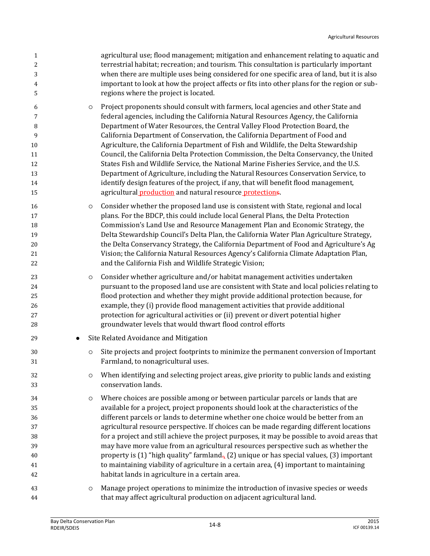| $\mathbf{1}$<br>$\boldsymbol{2}$<br>3<br>4<br>5               |         | agricultural use; flood management; mitigation and enhancement relating to aquatic and<br>terrestrial habitat; recreation; and tourism. This consultation is particularly important<br>when there are multiple uses being considered for one specific area of land, but it is also<br>important to look at how the project affects or fits into other plans for the region or sub-<br>regions where the project is located.                                                                                                                                                                                                                                                                                                                                                                                                                                                    |
|---------------------------------------------------------------|---------|--------------------------------------------------------------------------------------------------------------------------------------------------------------------------------------------------------------------------------------------------------------------------------------------------------------------------------------------------------------------------------------------------------------------------------------------------------------------------------------------------------------------------------------------------------------------------------------------------------------------------------------------------------------------------------------------------------------------------------------------------------------------------------------------------------------------------------------------------------------------------------|
| 6<br>7<br>$\, 8$<br>9<br>$10\,$<br>11<br>12<br>13<br>14<br>15 | $\circ$ | Project proponents should consult with farmers, local agencies and other State and<br>federal agencies, including the California Natural Resources Agency, the California<br>Department of Water Resources, the Central Valley Flood Protection Board, the<br>California Department of Conservation, the California Department of Food and<br>Agriculture, the California Department of Fish and Wildlife, the Delta Stewardship<br>Council, the California Delta Protection Commission, the Delta Conservancy, the United<br>States Fish and Wildlife Service, the National Marine Fisheries Service, and the U.S.<br>Department of Agriculture, including the Natural Resources Conservation Service, to<br>identify design features of the project, if any, that will benefit flood management,<br>agricultural <b>production</b> and natural resource <b>protections</b> . |
| 16<br>17<br>18<br>19<br>$20\,$<br>21<br>22                    | $\circ$ | Consider whether the proposed land use is consistent with State, regional and local<br>plans. For the BDCP, this could include local General Plans, the Delta Protection<br>Commission's Land Use and Resource Management Plan and Economic Strategy, the<br>Delta Stewardship Council's Delta Plan, the California Water Plan Agriculture Strategy,<br>the Delta Conservancy Strategy, the California Department of Food and Agriculture's Ag<br>Vision; the California Natural Resources Agency's California Climate Adaptation Plan,<br>and the California Fish and Wildlife Strategic Vision;                                                                                                                                                                                                                                                                              |
| 23<br>24<br>25<br>26<br>27<br>28                              | $\circ$ | Consider whether agriculture and/or habitat management activities undertaken<br>pursuant to the proposed land use are consistent with State and local policies relating to<br>flood protection and whether they might provide additional protection because, for<br>example, they (i) provide flood management activities that provide additional<br>protection for agricultural activities or (ii) prevent or divert potential higher<br>groundwater levels that would thwart flood control efforts                                                                                                                                                                                                                                                                                                                                                                           |
| 29<br>$\bullet$                                               |         | Site Related Avoidance and Mitigation                                                                                                                                                                                                                                                                                                                                                                                                                                                                                                                                                                                                                                                                                                                                                                                                                                          |
| 30<br>31                                                      | $\circ$ | Site projects and project footprints to minimize the permanent conversion of Important<br>Farmland, to nonagricultural uses.                                                                                                                                                                                                                                                                                                                                                                                                                                                                                                                                                                                                                                                                                                                                                   |
| 32<br>33                                                      | $\circ$ | When identifying and selecting project areas, give priority to public lands and existing<br>conservation lands.                                                                                                                                                                                                                                                                                                                                                                                                                                                                                                                                                                                                                                                                                                                                                                |
| 34<br>35<br>36<br>37<br>38<br>39<br>$40\,$<br>41<br>42        | $\circ$ | Where choices are possible among or between particular parcels or lands that are<br>available for a project, project proponents should look at the characteristics of the<br>different parcels or lands to determine whether one choice would be better from an<br>agricultural resource perspective. If choices can be made regarding different locations<br>for a project and still achieve the project purposes, it may be possible to avoid areas that<br>may have more value from an agricultural resources perspective such as whether the<br>property is (1) "high quality" farmland. (2) unique or has special values, (3) important<br>to maintaining viability of agriculture in a certain area, (4) important to maintaining<br>habitat lands in agriculture in a certain area.                                                                                     |
| 43<br>$\bf 44$                                                | $\circ$ | Manage project operations to minimize the introduction of invasive species or weeds<br>that may affect agricultural production on adjacent agricultural land.                                                                                                                                                                                                                                                                                                                                                                                                                                                                                                                                                                                                                                                                                                                  |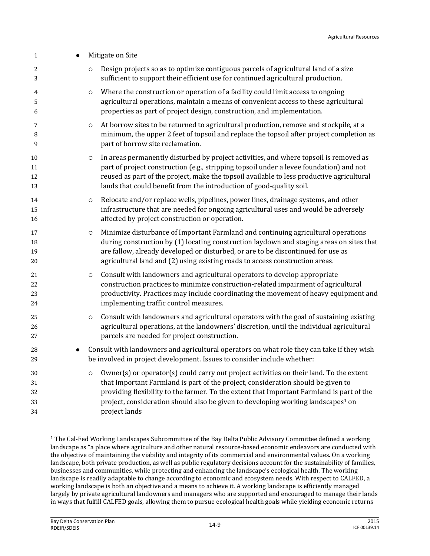| $\mathbf{1}$               | Mitigate on Site                                                                                                                                                                                                                                                                                                                                                                                     |
|----------------------------|------------------------------------------------------------------------------------------------------------------------------------------------------------------------------------------------------------------------------------------------------------------------------------------------------------------------------------------------------------------------------------------------------|
| 2<br>3                     | Design projects so as to optimize contiguous parcels of agricultural land of a size<br>$\circ$<br>sufficient to support their efficient use for continued agricultural production.                                                                                                                                                                                                                   |
| 4<br>5<br>6                | Where the construction or operation of a facility could limit access to ongoing<br>$\circ$<br>agricultural operations, maintain a means of convenient access to these agricultural<br>properties as part of project design, construction, and implementation.                                                                                                                                        |
| 7<br>8<br>9                | At borrow sites to be returned to agricultural production, remove and stockpile, at a<br>$\circ$<br>minimum, the upper 2 feet of topsoil and replace the topsoil after project completion as<br>part of borrow site reclamation.                                                                                                                                                                     |
| 10<br>11<br>12<br>13       | In areas permanently disturbed by project activities, and where topsoil is removed as<br>O<br>part of project construction (e.g., stripping topsoil under a levee foundation) and not<br>reused as part of the project, make the topsoil available to less productive agricultural<br>lands that could benefit from the introduction of good-quality soil.                                           |
| 14<br>15<br>16             | Relocate and/or replace wells, pipelines, power lines, drainage systems, and other<br>$\circ$<br>infrastructure that are needed for ongoing agricultural uses and would be adversely<br>affected by project construction or operation.                                                                                                                                                               |
| 17<br>18<br>19<br>20       | Minimize disturbance of Important Farmland and continuing agricultural operations<br>$\circ$<br>during construction by (1) locating construction laydown and staging areas on sites that<br>are fallow, already developed or disturbed, or are to be discontinued for use as<br>agricultural land and (2) using existing roads to access construction areas.                                         |
| 21<br>22<br>23<br>24       | Consult with landowners and agricultural operators to develop appropriate<br>$\circ$<br>construction practices to minimize construction-related impairment of agricultural<br>productivity. Practices may include coordinating the movement of heavy equipment and<br>implementing traffic control measures.                                                                                         |
| 25<br>26<br>27             | Consult with landowners and agricultural operators with the goal of sustaining existing<br>$\circ$<br>agricultural operations, at the landowners' discretion, until the individual agricultural<br>parcels are needed for project construction.                                                                                                                                                      |
| 28<br>29                   | Consult with landowners and agricultural operators on what role they can take if they wish<br>be involved in project development. Issues to consider include whether:                                                                                                                                                                                                                                |
| 30<br>31<br>32<br>33<br>34 | Owner(s) or operator(s) could carry out project activities on their land. To the extent<br>$\circ$<br>that Important Farmland is part of the project, consideration should be given to<br>providing flexibility to the farmer. To the extent that Important Farmland is part of the<br>project, consideration should also be given to developing working landscapes <sup>1</sup> on<br>project lands |

 The Cal-Fed Working Landscapes Subcommittee of the Bay Delta Public Advisory Committee defined a working landscape as "a place where agriculture and other natural resource-based economic endeavors are conducted with the objective of maintaining the viability and integrity of its commercial and environmental values. On a working landscape, both private production, as well as public regulatory decisions account for the sustainability of families, businesses and communities, while protecting and enhancing the landscape's ecological health. The working landscape is readily adaptable to change according to economic and ecosystem needs. With respect to CALFED, a working landscape is both an objective and a means to achieve it. A working landscape is efficiently managed largely by private agricultural landowners and managers who are supported and encouraged to manage their lands in ways that fulfill CALFED goals, allowing them to pursue ecological health goals while yielding economic returns

 $\overline{a}$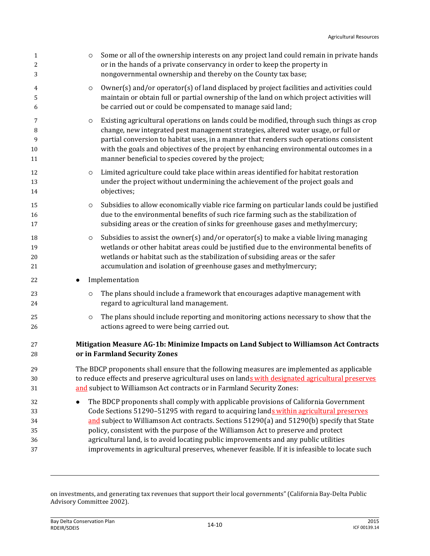| 1<br>2<br>3                | Some or all of the ownership interests on any project land could remain in private hands<br>$\circ$<br>or in the hands of a private conservancy in order to keep the property in<br>nongovernmental ownership and thereby on the County tax base;                                                                                                                                                                                                         |  |
|----------------------------|-----------------------------------------------------------------------------------------------------------------------------------------------------------------------------------------------------------------------------------------------------------------------------------------------------------------------------------------------------------------------------------------------------------------------------------------------------------|--|
| 4<br>5<br>6                | Owner(s) and/or operator(s) of land displaced by project facilities and activities could<br>$\circ$<br>maintain or obtain full or partial ownership of the land on which project activities will<br>be carried out or could be compensated to manage said land;                                                                                                                                                                                           |  |
| 7<br>8<br>9<br>10<br>11    | Existing agricultural operations on lands could be modified, through such things as crop<br>$\circ$<br>change, new integrated pest management strategies, altered water usage, or full or<br>partial conversion to habitat uses, in a manner that renders such operations consistent<br>with the goals and objectives of the project by enhancing environmental outcomes in a<br>manner beneficial to species covered by the project;                     |  |
| 12<br>13<br>14             | Limited agriculture could take place within areas identified for habitat restoration<br>$\circ$<br>under the project without undermining the achievement of the project goals and<br>objectives;                                                                                                                                                                                                                                                          |  |
| 15<br>16<br>17             | Subsidies to allow economically viable rice farming on particular lands could be justified<br>$\circ$<br>due to the environmental benefits of such rice farming such as the stabilization of<br>subsiding areas or the creation of sinks for greenhouse gases and methylmercury;                                                                                                                                                                          |  |
| 18<br>19<br>20<br>21       | Subsidies to assist the owner(s) and/or operator(s) to make a viable living managing<br>$\circ$<br>wetlands or other habitat areas could be justified due to the environmental benefits of<br>wetlands or habitat such as the stabilization of subsiding areas or the safer<br>accumulation and isolation of greenhouse gases and methylmercury;                                                                                                          |  |
| 22                         | Implementation                                                                                                                                                                                                                                                                                                                                                                                                                                            |  |
| 23<br>24                   | The plans should include a framework that encourages adaptive management with<br>$\circ$<br>regard to agricultural land management.                                                                                                                                                                                                                                                                                                                       |  |
| 25<br>26                   | The plans should include reporting and monitoring actions necessary to show that the<br>$\circ$<br>actions agreed to were being carried out.                                                                                                                                                                                                                                                                                                              |  |
| 27<br>28                   | Mitigation Measure AG-1b: Minimize Impacts on Land Subject to Williamson Act Contracts<br>or in Farmland Security Zones                                                                                                                                                                                                                                                                                                                                   |  |
| 29<br>30<br>31             | The BDCP proponents shall ensure that the following measures are implemented as applicable<br>to reduce effects and preserve agricultural uses on lands with designated agricultural preserves<br>and subject to Williamson Act contracts or in Farmland Security Zones:                                                                                                                                                                                  |  |
| 32<br>33<br>34<br>35<br>36 | The BDCP proponents shall comply with applicable provisions of California Government<br>Code Sections 51290-51295 with regard to acquiring lands within agricultural preserves<br>and subject to Williamson Act contracts. Sections 51290(a) and 51290(b) specify that State<br>policy, consistent with the purpose of the Williamson Act to preserve and protect<br>agricultural land, is to avoid locating public improvements and any public utilities |  |
| 37                         | improvements in agricultural preserves, whenever feasible. If it is infeasible to locate such                                                                                                                                                                                                                                                                                                                                                             |  |

on investments, and generating tax revenues that support their local governments" (California Bay-Delta Public Advisory Committee 2002).

 $\overline{a}$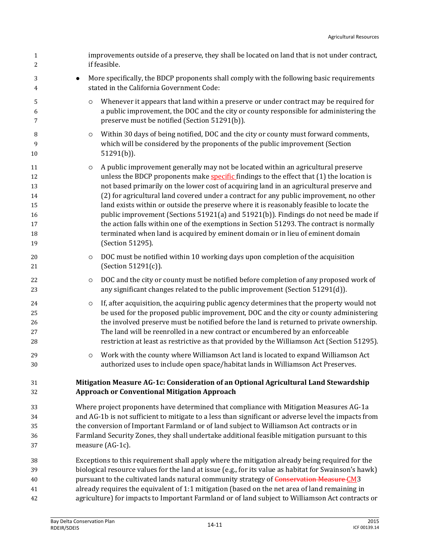| $\mathbf{1}$<br>2                                  | improvements outside of a preserve, they shall be located on land that is not under contract,<br>if feasible.                                                                                                                                                                                                                                                                                                                                                                                                                                                                                                                                                                                                                                                         |  |  |  |  |  |
|----------------------------------------------------|-----------------------------------------------------------------------------------------------------------------------------------------------------------------------------------------------------------------------------------------------------------------------------------------------------------------------------------------------------------------------------------------------------------------------------------------------------------------------------------------------------------------------------------------------------------------------------------------------------------------------------------------------------------------------------------------------------------------------------------------------------------------------|--|--|--|--|--|
| 3<br>4                                             | More specifically, the BDCP proponents shall comply with the following basic requirements<br>stated in the California Government Code:                                                                                                                                                                                                                                                                                                                                                                                                                                                                                                                                                                                                                                |  |  |  |  |  |
| 5<br>6<br>7                                        | Whenever it appears that land within a preserve or under contract may be required for<br>$\circ$<br>a public improvement, the DOC and the city or county responsible for administering the<br>preserve must be notified (Section 51291(b)).                                                                                                                                                                                                                                                                                                                                                                                                                                                                                                                           |  |  |  |  |  |
| 8<br>9<br>10                                       | Within 30 days of being notified, DOC and the city or county must forward comments,<br>$\circ$<br>which will be considered by the proponents of the public improvement (Section<br>$51291(b)$ ).                                                                                                                                                                                                                                                                                                                                                                                                                                                                                                                                                                      |  |  |  |  |  |
| 11<br>12<br>13<br>14<br>15<br>16<br>17<br>18<br>19 | A public improvement generally may not be located within an agricultural preserve<br>$\circ$<br>unless the BDCP proponents make specific findings to the effect that (1) the location is<br>not based primarily on the lower cost of acquiring land in an agricultural preserve and<br>(2) for agricultural land covered under a contract for any public improvement, no other<br>land exists within or outside the preserve where it is reasonably feasible to locate the<br>public improvement (Sections 51921(a) and 51921(b)). Findings do not need be made if<br>the action falls within one of the exemptions in Section 51293. The contract is normally<br>terminated when land is acquired by eminent domain or in lieu of eminent domain<br>(Section 51295). |  |  |  |  |  |
| 20<br>21                                           | DOC must be notified within 10 working days upon completion of the acquisition<br>$\circ$<br>(Section 51291(c)).                                                                                                                                                                                                                                                                                                                                                                                                                                                                                                                                                                                                                                                      |  |  |  |  |  |
| 22<br>23                                           | DOC and the city or county must be notified before completion of any proposed work of<br>$\circ$<br>any significant changes related to the public improvement (Section 51291(d)).                                                                                                                                                                                                                                                                                                                                                                                                                                                                                                                                                                                     |  |  |  |  |  |
| 24<br>25<br>26<br>27<br>28                         | If, after acquisition, the acquiring public agency determines that the property would not<br>$\circ$<br>be used for the proposed public improvement, DOC and the city or county administering<br>the involved preserve must be notified before the land is returned to private ownership.<br>The land will be reenrolled in a new contract or encumbered by an enforceable<br>restriction at least as restrictive as that provided by the Williamson Act (Section 51295).                                                                                                                                                                                                                                                                                             |  |  |  |  |  |
| 29<br>30                                           | Work with the county where Williamson Act land is located to expand Williamson Act<br>$\circ$<br>authorized uses to include open space/habitat lands in Williamson Act Preserves.                                                                                                                                                                                                                                                                                                                                                                                                                                                                                                                                                                                     |  |  |  |  |  |
| 31<br>32                                           | Mitigation Measure AG-1c: Consideration of an Optional Agricultural Land Stewardship<br><b>Approach or Conventional Mitigation Approach</b>                                                                                                                                                                                                                                                                                                                                                                                                                                                                                                                                                                                                                           |  |  |  |  |  |
| 33<br>34<br>35<br>36<br>37                         | Where project proponents have determined that compliance with Mitigation Measures AG-1a<br>and AG-1b is not sufficient to mitigate to a less than significant or adverse level the impacts from<br>the conversion of Important Farmland or of land subject to Williamson Act contracts or in<br>Farmland Security Zones, they shall undertake additional feasible mitigation pursuant to this<br>measure (AG-1c).                                                                                                                                                                                                                                                                                                                                                     |  |  |  |  |  |
| 38<br>39<br>40<br>41                               | Exceptions to this requirement shall apply where the mitigation already being required for the<br>biological resource values for the land at issue (e.g., for its value as habitat for Swainson's hawk)<br>pursuant to the cultivated lands natural community strategy of Conservation Measure CM3<br>already requires the equivalent of 1:1 mitigation (based on the net area of land remaining in                                                                                                                                                                                                                                                                                                                                                                   |  |  |  |  |  |

agriculture) for impacts to Important Farmland or of land subject to Williamson Act contracts or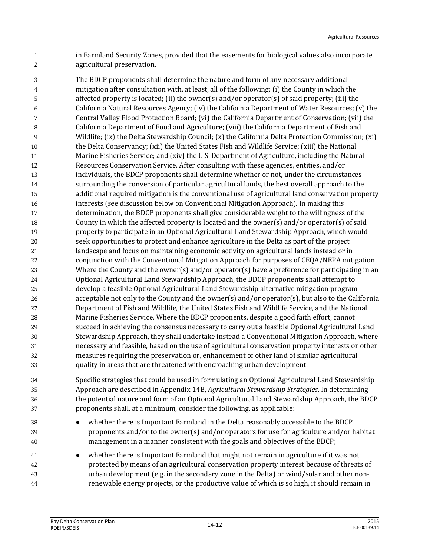in Farmland Security Zones, provided that the easements for biological values also incorporate agricultural preservation.

 The BDCP proponents shall determine the nature and form of any necessary additional mitigation after consultation with, at least, all of the following: (i) the County in which the affected property is located; (ii) the owner(s) and/or operator(s) of said property; (iii) the California Natural Resources Agency; (iv) the California Department of Water Resources; (v) the Central Valley Flood Protection Board; (vi) the California Department of Conservation; (vii) the California Department of Food and Agriculture; (viii) the California Department of Fish and Wildlife; (ix) the Delta Stewardship Council; (x) the California Delta Protection Commission; (xi) the Delta Conservancy; (xii) the United States Fish and Wildlife Service; (xiii) the National Marine Fisheries Service; and (xiv) the U.S. Department of Agriculture, including the Natural Resources Conservation Service. After consulting with these agencies, entities, and/or individuals, the BDCP proponents shall determine whether or not, under the circumstances surrounding the conversion of particular agricultural lands, the best overall approach to the additional required mitigation is the conventional use of agricultural land conservation property interests (see discussion below on Conventional Mitigation Approach). In making this determination, the BDCP proponents shall give considerable weight to the willingness of the County in which the affected property is located and the owner(s) and/or operator(s) of said property to participate in an Optional Agricultural Land Stewardship Approach, which would seek opportunities to protect and enhance agriculture in the Delta as part of the project landscape and focus on maintaining economic activity on agricultural lands instead or in conjunction with the Conventional Mitigation Approach for purposes of CEQA/NEPA mitigation. Where the County and the owner(s) and/or operator(s) have a preference for participating in an Optional Agricultural Land Stewardship Approach, the BDCP proponents shall attempt to develop a feasible Optional Agricultural Land Stewardship alternative mitigation program acceptable not only to the County and the owner(s) and/or operator(s), but also to the California Department of Fish and Wildlife, the United States Fish and Wildlife Service, and the National Marine Fisheries Service. Where the BDCP proponents, despite a good faith effort, cannot succeed in achieving the consensus necessary to carry out a feasible Optional Agricultural Land Stewardship Approach, they shall undertake instead a Conventional Mitigation Approach, where necessary and feasible, based on the use of agricultural conservation property interests or other measures requiring the preservation or, enhancement of other land of similar agricultural quality in areas that are threatened with encroaching urban development.

 Specific strategies that could be used in formulating an Optional Agricultural Land Stewardship Approach are described in Appendix 14B, *Agricultural Stewardship Strategies*. In determining the potential nature and form of an Optional Agricultural Land Stewardship Approach, the BDCP proponents shall, at a minimum, consider the following, as applicable:

- whether there is Important Farmland in the Delta reasonably accessible to the BDCP proponents and/or to the owner(s) and/or operators for use for agriculture and/or habitat management in a manner consistent with the goals and objectives of the BDCP;
- whether there is Important Farmland that might not remain in agriculture if it was not protected by means of an agricultural conservation property interest because of threats of urban development (e.g. in the secondary zone in the Delta) or wind/solar and other non-renewable energy projects, or the productive value of which is so high, it should remain in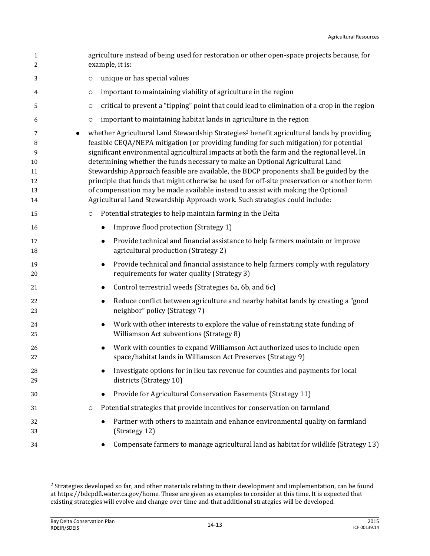| $\mathbf{1}$<br>2 | agriculture instead of being used for restoration or other open-space projects because, for<br>example, it is:                                                                  |
|-------------------|---------------------------------------------------------------------------------------------------------------------------------------------------------------------------------|
| 3                 | unique or has special values<br>$\circ$                                                                                                                                         |
| 4                 | important to maintaining viability of agriculture in the region<br>O                                                                                                            |
|                   |                                                                                                                                                                                 |
| 5                 | critical to prevent a "tipping" point that could lead to elimination of a crop in the region<br>O                                                                               |
| 6                 | important to maintaining habitat lands in agriculture in the region<br>$\circ$                                                                                                  |
| 7                 | whether Agricultural Land Stewardship Strategies <sup>2</sup> benefit agricultural lands by providing                                                                           |
| 8                 | feasible CEQA/NEPA mitigation (or providing funding for such mitigation) for potential                                                                                          |
| 9                 | significant environmental agricultural impacts at both the farm and the regional level. In                                                                                      |
| 10                | determining whether the funds necessary to make an Optional Agricultural Land                                                                                                   |
| 11                | Stewardship Approach feasible are available, the BDCP proponents shall be guided by the                                                                                         |
| 12<br>13          | principle that funds that might otherwise be used for off-site preservation or another form<br>of compensation may be made available instead to assist with making the Optional |
| 14                | Agricultural Land Stewardship Approach work. Such strategies could include:                                                                                                     |
| 15                | Potential strategies to help maintain farming in the Delta<br>$\circ$                                                                                                           |
| 16                | Improve flood protection (Strategy 1)<br>$\bullet$                                                                                                                              |
| 17                | Provide technical and financial assistance to help farmers maintain or improve<br>$\bullet$                                                                                     |
| 18                | agricultural production (Strategy 2)                                                                                                                                            |
| 19                | Provide technical and financial assistance to help farmers comply with regulatory<br>$\bullet$                                                                                  |
| 20                | requirements for water quality (Strategy 3)                                                                                                                                     |
| 21                | Control terrestrial weeds (Strategies 6a, 6b, and 6c)<br>$\bullet$                                                                                                              |
| 22<br>23          | Reduce conflict between agriculture and nearby habitat lands by creating a "good<br>$\bullet$<br>neighbor" policy (Strategy 7)                                                  |
| 24                | Work with other interests to explore the value of reinstating state funding of<br>$\bullet$                                                                                     |
| 25                | Williamson Act subventions (Strategy 8)                                                                                                                                         |
| 26                | Work with counties to expand Williamson Act authorized uses to include open<br>$\bullet$                                                                                        |
| 27                | space/habitat lands in Williamson Act Preserves (Strategy 9)                                                                                                                    |
| 28                | Investigate options for in lieu tax revenue for counties and payments for local<br>$\bullet$                                                                                    |
| 29                | districts (Strategy 10)                                                                                                                                                         |
| 30                | Provide for Agricultural Conservation Easements (Strategy 11)<br>$\bullet$                                                                                                      |
| 31                | Potential strategies that provide incentives for conservation on farmland<br>$\circ$                                                                                            |
| 32                | Partner with others to maintain and enhance environmental quality on farmland                                                                                                   |
| 33                | (Strategy 12)                                                                                                                                                                   |
| 34                | Compensate farmers to manage agricultural land as habitat for wildlife (Strategy 13)                                                                                            |

 $\overline{\phantom{0}}$ 

 Strategies developed so far, and other materials relating to their development and implementation, can be found at https://bdcpdfl.water.ca.gov/home. These are given as examples to consider at this time. It is expected that existing strategies will evolve and change over time and that additional strategies will be developed.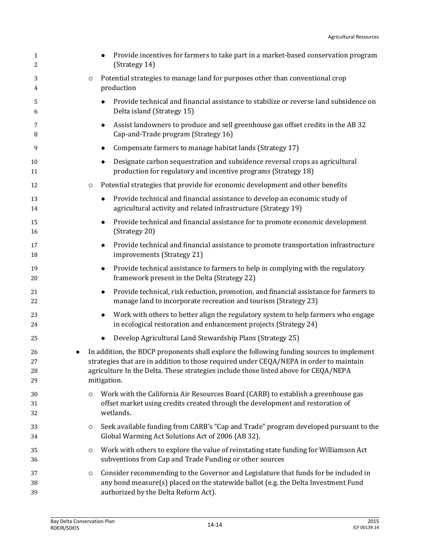| 1<br>2               | Provide incentives for farmers to take part in a market-based conservation program<br>(Strategy 14)                                                                                                                                                                                       |
|----------------------|-------------------------------------------------------------------------------------------------------------------------------------------------------------------------------------------------------------------------------------------------------------------------------------------|
| 3<br>4               | Potential strategies to manage land for purposes other than conventional crop<br>$\circ$<br>production                                                                                                                                                                                    |
| 5<br>6               | Provide technical and financial assistance to stabilize or reverse land subsidence on<br>Delta island (Strategy 15)                                                                                                                                                                       |
| 7<br>8               | Assist landowners to produce and sell greenhouse gas offset credits in the AB 32<br>$\bullet$<br>Cap-and-Trade program (Strategy 16)                                                                                                                                                      |
| 9                    | Compensate farmers to manage habitat lands (Strategy 17)<br>$\bullet$                                                                                                                                                                                                                     |
| 10<br>11             | Designate carbon sequestration and subsidence reversal crops as agricultural<br>production for regulatory and incentive programs (Strategy 18)                                                                                                                                            |
| 12                   | Potential strategies that provide for economic development and other benefits<br>$\circ$                                                                                                                                                                                                  |
| 13<br>14             | Provide technical and financial assistance to develop an economic study of<br>$\bullet$<br>agricultural activity and related infrastructure (Strategy 19)                                                                                                                                 |
| 15<br>16             | Provide technical and financial assistance for to promote economic development<br>(Strategy 20)                                                                                                                                                                                           |
| $17\,$<br>18         | Provide technical and financial assistance to promote transportation infrastructure<br>$\bullet$<br>improvements (Strategy 21)                                                                                                                                                            |
| 19<br>20             | Provide technical assistance to farmers to help in complying with the regulatory<br>$\bullet$<br>framework present in the Delta (Strategy 22)                                                                                                                                             |
| 21<br>22             | Provide technical, risk reduction, promotion, and financial assistance for farmers to<br>$\bullet$<br>manage land to incorporate recreation and tourism (Strategy 23)                                                                                                                     |
| 23<br>24             | Work with others to better align the regulatory system to help farmers who engage<br>in ecological restoration and enhancement projects (Strategy 24)                                                                                                                                     |
| 25                   | Develop Agricultural Land Stewardship Plans (Strategy 25)<br>$\bullet$                                                                                                                                                                                                                    |
| 26<br>27<br>28<br>29 | In addition, the BDCP proponents shall explore the following funding sources to implement<br>strategies that are in addition to those required under CEQA/NEPA in order to maintain<br>agriculture In the Delta. These strategies include those listed above for CEQA/NEPA<br>mitigation. |
| 30<br>31<br>32       | Work with the California Air Resources Board (CARB) to establish a greenhouse gas<br>$\circ$<br>offset market using credits created through the development and restoration of<br>wetlands.                                                                                               |
| 33<br>34             | Seek available funding from CARB's "Cap and Trade" program developed pursuant to the<br>$\circ$<br>Global Warming Act Solutions Act of 2006 (AB 32).                                                                                                                                      |
| 35<br>36             | Work with others to explore the value of reinstating state funding for Williamson Act<br>$\circ$<br>subventions from Cap and Trade Funding or other sources                                                                                                                               |
| 37<br>38<br>39       | Consider recommending to the Governor and Legislature that funds for be included in<br>O<br>any bond measure(s) placed on the statewide ballot (e.g. the Delta Investment Fund<br>authorized by the Delta Reform Act).                                                                    |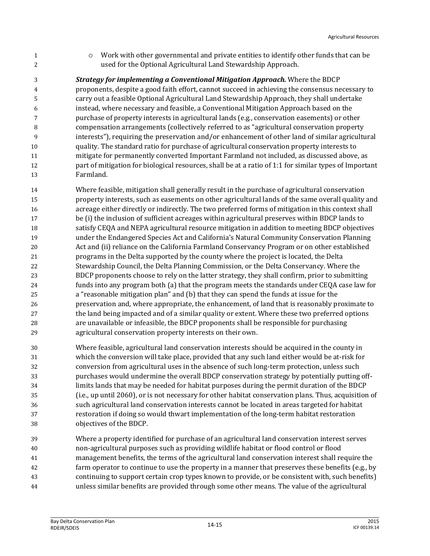Work with other governmental and private entities to identify other funds that can be used for the Optional Agricultural Land Stewardship Approach.

 *Strategy for implementing a Conventional Mitigation Approach.* Where the BDCP proponents, despite a good faith effort, cannot succeed in achieving the consensus necessary to carry out a feasible Optional Agricultural Land Stewardship Approach, they shall undertake instead, where necessary and feasible, a Conventional Mitigation Approach based on the purchase of property interests in agricultural lands (e.g., conservation easements) or other compensation arrangements (collectively referred to as "agricultural conservation property interests"), requiring the preservation and/or enhancement of other land of similar agricultural quality. The standard ratio for purchase of agricultural conservation property interests to mitigate for permanently converted Important Farmland not included, as discussed above, as part of mitigation for biological resources, shall be at a ratio of 1:1 for similar types of Important Farmland.

- Where feasible, mitigation shall generally result in the purchase of agricultural conservation property interests, such as easements on other agricultural lands of the same overall quality and acreage either directly or indirectly. The two preferred forms of mitigation in this context shall be (i) the inclusion of sufficient acreages within agricultural preserves within BDCP lands to satisfy CEQA and NEPA agricultural resource mitigation in addition to meeting BDCP objectives under the Endangered Species Act and California's Natural Community Conservation Planning Act and (ii) reliance on the California Farmland Conservancy Program or on other established programs in the Delta supported by the county where the project is located, the Delta Stewardship Council, the Delta Planning Commission, or the Delta Conservancy. Where the BDCP proponents choose to rely on the latter strategy, they shall confirm, prior to submitting funds into any program both (a) that the program meets the standards under CEQA case law for a "reasonable mitigation plan" and (b) that they can spend the funds at issue for the preservation and, where appropriate, the enhancement, of land that is reasonably proximate to the land being impacted and of a similar quality or extent. Where these two preferred options are unavailable or infeasible, the BDCP proponents shall be responsible for purchasing agricultural conservation property interests on their own.
- Where feasible, agricultural land conservation interests should be acquired in the county in which the conversion will take place, provided that any such land either would be at-risk for conversion from agricultural uses in the absence of such long-term protection, unless such purchases would undermine the overall BDCP conservation strategy by potentially putting off- limits lands that may be needed for habitat purposes during the permit duration of the BDCP (i.e., up until 2060), or is not necessary for other habitat conservation plans. Thus, acquisition of such agricultural land conservation interests cannot be located in areas targeted for habitat restoration if doing so would thwart implementation of the long-term habitat restoration objectives of the BDCP.
- Where a property identified for purchase of an agricultural land conservation interest serves non-agricultural purposes such as providing wildlife habitat or flood control or flood management benefits, the terms of the agricultural land conservation interest shall require the farm operator to continue to use the property in a manner that preserves these benefits (e.g., by continuing to support certain crop types known to provide, or be consistent with, such benefits) unless similar benefits are provided through some other means. The value of the agricultural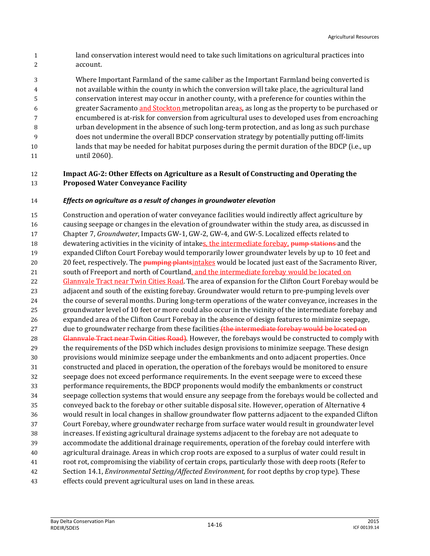land conservation interest would need to take such limitations on agricultural practices into account.

 Where Important Farmland of the same caliber as the Important Farmland being converted is not available within the county in which the conversion will take place, the agricultural land conservation interest may occur in another county, with a preference for counties within the 6 greater Sacramento and Stockton metropolitan areas, as long as the property to be purchased or encumbered is at-risk for conversion from agricultural uses to developed uses from encroaching urban development in the absence of such long-term protection, and as long as such purchase does not undermine the overall BDCP conservation strategy by potentially putting off-limits lands that may be needed for habitat purposes during the permit duration of the BDCP (i.e., up until 2060).

#### **Impact AG-2: Other Effects on Agriculture as a Result of Constructing and Operating the Proposed Water Conveyance Facility**

# *Effects on agriculture as a result of changes in groundwater elevation*

 Construction and operation of water conveyance facilities would indirectly affect agriculture by causing seepage or changes in the elevation of groundwater within the study area, as discussed in Chapter 7, *Groundwater*, Impacts GW-1, GW-2, GW-4, and GW-5. Localized effects related to 18 dewatering activities in the vicinity of intakes, the intermediate forebay, pump stations and the expanded Clifton Court Forebay would temporarily lower groundwater levels by up to 10 feet and 20 20 feet, respectively. The pumping plantsintakes would be located just east of the Sacramento River, 21 south of Freeport and north of Courtland, and the intermediate forebay would be located on 22 Glannvale Tract near Twin Cities Road. The area of expansion for the Clifton Court Forebay would be adjacent and south of the existing forebay. Groundwater would return to pre-pumping levels over the course of several months. During long-term operations of the water conveyance, increases in the groundwater level of 10 feet or more could also occur in the vicinity of the intermediate forebay and expanded area of the Clifton Court Forebay in the absence of design features to minimize seepage, 27 due to groundwater recharge from these facilities (the intermediate forebay would be located on 28 Glannyale Tract near Twin Cities Road). However, the forebays would be constructed to comply with the requirements of the DSD which includes design provisions to minimize seepage. These design provisions would minimize seepage under the embankments and onto adjacent properties. Once constructed and placed in operation, the operation of the forebays would be monitored to ensure seepage does not exceed performance requirements. In the event seepage were to exceed these performance requirements, the BDCP proponents would modify the embankments or construct seepage collection systems that would ensure any seepage from the forebays would be collected and conveyed back to the forebay or other suitable disposal site. However, operation of Alternative 4 would result in local changes in shallow groundwater flow patterns adjacent to the expanded Clifton Court Forebay, where groundwater recharge from surface water would result in groundwater level increases. If existing agricultural drainage systems adjacent to the forebay are not adequate to accommodate the additional drainage requirements, operation of the forebay could interfere with agricultural drainage. Areas in which crop roots are exposed to a surplus of water could result in root rot, compromising the viability of certain crops, particularly those with deep roots (Refer to Section 14.1, *Environmental Setting/Affected Environment,* for root depths by crop type). These effects could prevent agricultural uses on land in these areas.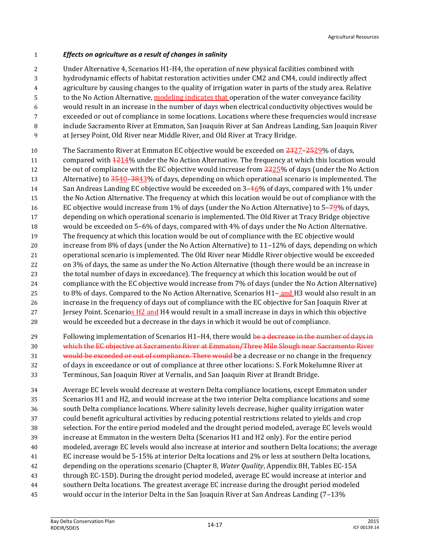#### *Effects on agriculture as a result of changes in salinity*

Under Alternative 4, Scenarios H1-H4, the operation of new physical facilities combined with

hydrodynamic effects of habitat restoration activities under CM2 and CM4, could indirectly affect

agriculture by causing changes to the quality of irrigation water in parts of the study area. Relative

to the No Action Alternative, modeling indicates that operation of the water conveyance facility

- would result in an increase in the number of days when electrical conductivity objectives would be
- exceeded or out of compliance in some locations. Locations where these frequencies would increase include Sacramento River at Emmaton, San Joaquin River at San Andreas Landing, San Joaquin River
- at Jersey Point, Old River near Middle River, and Old River at Tracy Bridge.
- 10 The Sacramento River at Emmaton EC objective would be exceeded on  $\frac{2327-2529}{6}$  of days,
- 11 compared with  $\frac{1214}{6}$  under the No Action Alternative. The frequency at which this location would 12 be out of compliance with the EC objective would increase from 2225% of days (under the No Action
- 13 Alternative) to  $3540-3843\%$  of days, depending on which operational scenario is implemented. The
- 14 San Andreas Landing EC objective would be exceeded on  $3-46\%$  of days, compared with 1% under
- the No Action Alternative. The frequency at which this location would be out of compliance with the
- EC objective would increase from 1% of days (under the No Action Alternative) to 5–79% of days,
- depending on which operational scenario is implemented. The Old River at Tracy Bridge objective would be exceeded on 5–6% of days, compared with 4% of days under the No Action Alternative.
- The frequency at which this location would be out of compliance with the EC objective would
- increase from 8% of days (under the No Action Alternative) to 11–12% of days, depending on which operational scenario is implemented. The Old River near Middle River objective would be exceeded
- on 3% of days, the same as under the No Action Alternative (though there would be an increase in the total number of days in exceedance). The frequency at which this location would be out of
- compliance with the EC objective would increase from 7% of days (under the No Action Alternative) 25 to 8% of days. Compared to the No Action Alternative, Scenarios H1– and H3 would also result in an increase in the frequency of days out of compliance with the EC objective for San Joaquin River at
- 27 Jersey Point. Scenarios H<sub>2</sub> and H<sub>4</sub> would result in a small increase in days in which this objective would be exceeded but a decrease in the days in which it would be out of compliance.
- 29 Following implementation of Scenarios H1–H4, there would be a decrease in the number of days in which the EC objective at Sacramento River at Emmaton/Three Mile Slough near Sacramento River 31 would be exceeded or out of compliance. There would be a decrease or no change in the frequency of days in exceedance or out of compliance at three other locations: S. Fork Mokelumne River at Terminous, San Joaquin River at Vernalis, and San Joaquin River at Brandt Bridge.
- Average EC levels would decrease at western Delta compliance locations, except Emmaton under Scenarios H1 and H2, and would increase at the two interior Delta compliance locations and some south Delta compliance locations. Where salinity levels decrease, higher quality irrigation water could benefit agricultural activities by reducing potential restrictions related to yields and crop selection. For the entire period modeled and the drought period modeled, average EC levels would increase at Emmaton in the western Delta (Scenarios H1 and H2 only). For the entire period modeled, average EC levels would also increase at interior and southern Delta locations; the average EC increase would be 5-15% at interior Delta locations and 2% or less at southern Delta locations, depending on the operations scenario (Chapter 8, *Water Quality*, Appendix 8H, Tables EC-15A through EC-15D). During the drought period modeled, average EC would increase at interior and southern Delta locations. The greatest average EC increase during the drought period modeled would occur in the interior Delta in the San Joaquin River at San Andreas Landing (7–13%
	- Bay Delta Conservation Plan<br>RDEIR/SDEIS RDEIR/SDEIS 14-17 <sup>2015</sup>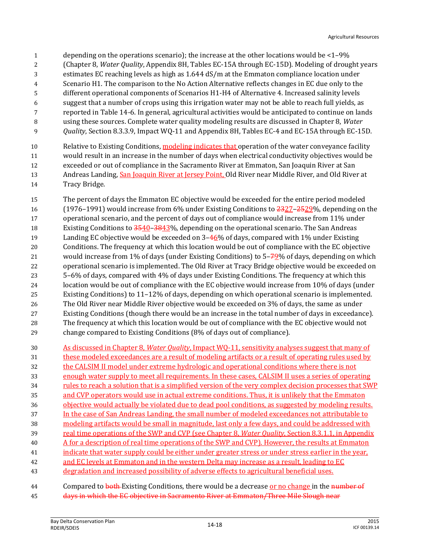- depending on the operations scenario); the increase at the other locations would be <1–9%
- (Chapter 8, *Water Quality*, Appendix 8H, Tables EC-15A through EC-15D). Modeling of drought years
- estimates EC reaching levels as high as 1.644 dS/m at the Emmaton compliance location under
- Scenario H1. The comparison to the No Action Alternative reflects changes in EC due only to the
- different operational components of Scenarios H1-H4 of Alternative 4. Increased salinity levels
- suggest that a number of crops using this irrigation water may not be able to reach full yields, as
- reported in Table 14-6. In general, agricultural activities would be anticipated to continue on lands
- using these sources. Complete water quality modeling results are discussed in Chapter 8, *Water*
- *Quality*, Section 8.3.3.9, Impact WQ-11 and Appendix 8H, Tables EC-4 and EC-15A through EC-15D.
- 10 Relative to Existing Conditions, modeling indicates that operation of the water conveyance facility would result in an increase in the number of days when electrical conductivity objectives would be exceeded or out of compliance in the Sacramento River at Emmaton, San Joaquin River at San 13 Andreas Landing, San Joaquin River at Jersey Point, Old River near Middle River, and Old River at Tracy Bridge.
- The percent of days the Emmaton EC objective would be exceeded for the entire period modeled 16 (1976–1991) would increase from 6% under Existing Conditions to  $\frac{2327-2529}{6}$ , depending on the operational scenario, and the percent of days out of compliance would increase from 11% under 18 Existing Conditions to  $\frac{3540}{3843}$ %, depending on the operational scenario. The San Andreas 19 Landing EC objective would be exceeded on  $3-46\%$  of days, compared with 1% under Existing
- Conditions. The frequency at which this location would be out of compliance with the EC objective 21 would increase from 1% of days (under Existing Conditions) to 5-79% of days, depending on which operational scenario is implemented. The Old River at Tracy Bridge objective would be exceeded on 5–6% of days, compared with 4% of days under Existing Conditions. The frequency at which this location would be out of compliance with the EC objective would increase from 10% of days (under Existing Conditions) to 11–12% of days, depending on which operational scenario is implemented.
- The Old River near Middle River objective would be exceeded on 3% of days, the same as under Existing Conditions (though there would be an increase in the total number of days in exceedance).
- The frequency at which this location would be out of compliance with the EC objective would not change compared to Existing Conditions (8% of days out of compliance).
- As discussed in Chapter 8, *Water Quality*, Impact WQ-11, sensitivity analyses suggest that many of these modeled exceedances are a result of modeling artifacts or a result of operating rules used by the CALSIM II model under extreme hydrologic and operational conditions where there is not enough water supply to meet all requirements. In these cases, CALSIM II uses a series of operating rules to reach a solution that is a simplified version of the very complex decision processes that SWP and CVP operators would use in actual extreme conditions. Thus, it is unlikely that the Emmaton objective would actually be violated due to dead pool conditions, as suggested by modeling results. In the case of San Andreas Landing, the small number of modeled exceedances not attributable to modeling artifacts would be small in magnitude, last only a few days, and could be addressed with real time operations of the SWP and CVP (see Chapter 8, *Water Quality*, Section 8.3.1.1, in Appendix A for a description of real time operations of the SWP and CVP). However, the results at Emmaton 41 indicate that water supply could be either under greater stress or under stress earlier in the year, and EC levels at Emmaton and in the western Delta may increase as a result, leading to EC degradation and increased possibility of adverse effects to agricultural beneficial uses.
- 44 Compared to both Existing Conditions, there would be a decrease or no change in the number of days in which the EC objective in Sacramento River at Emmaton/Three Mile Slough near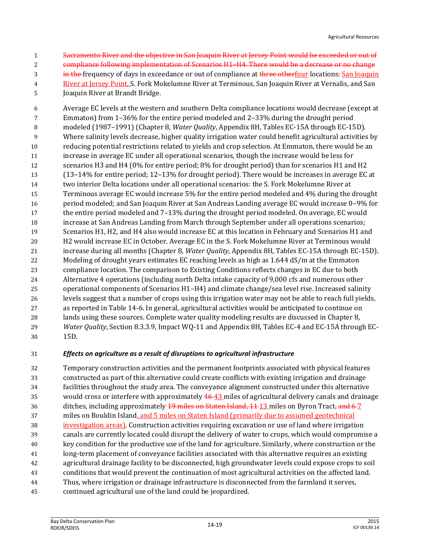Sacramento River and the objective in San Joaquin River at Jersey Point would be exceeded or out of 2 compliance following implementation of Scenarios H1–H4. There would be a decrease or no change 3 in the frequency of days in exceedance or out of compliance at three otherfour locations: San Joaquin River at Jersey Point, S. Fork Mokelumne River at Terminous, San Joaquin River at Vernalis, and San

Joaquin River at Brandt Bridge.

 Average EC levels at the western and southern Delta compliance locations would decrease (except at Emmaton) from 1–36% for the entire period modeled and 2–33% during the drought period modeled (1987–1991) (Chapter 8, *Water Quality*, Appendix 8H, Tables EC-15A through EC-15D). Where salinity levels decrease, higher quality irrigation water could benefit agricultural activities by reducing potential restrictions related to yields and crop selection. At Emmaton, there would be an increase in average EC under all operational scenarios, though the increase would be less for scenarios H3 and H4 (0% for entire period; 8% for drought period) than for scenarios H1 and H2 (13–14% for entire period; 12–13% for drought period). There would be increases in average EC at two interior Delta locations under all operational scenarios: the S. Fork Mokelumne River at Terminous average EC would increase 5% for the entire period modeled and 4% during the drought period modeled; and San Joaquin River at San Andreas Landing average EC would increase 0–9% for the entire period modeled and 7–13% during the drought period modeled. On average, EC would increase at San Andreas Landing from March through September under all operations scenarios; Scenarios H1, H2, and H4 also would increase EC at this location in February and Scenarios H1 and H2 would increase EC in October. Average EC in the S. Fork Mokelumne River at Terminous would increase during all months (Chapter 8, *Water Quality*, Appendix 8H, Tables EC-15A through EC-15D). Modeling of drought years estimates EC reaching levels as high as 1.644 dS/m at the Emmaton compliance location. The comparison to Existing Conditions reflects changes in EC due to both Alternative 4 operations (including north Delta intake capacity of 9,000 cfs and numerous other operational components of Scenarios H1–H4) and climate change/sea level rise. Increased salinity levels suggest that a number of crops using this irrigation water may not be able to reach full yields, as reported in Table 14-6. In general, agricultural activities would be anticipated to continue on lands using these sources. Complete water quality modeling results are discussed in Chapter 8, *Water Quality*, Section 8.3.3.9, Impact WQ-11 and Appendix 8H, Tables EC-4 and EC-15A through EC-15D.

# *Effects on agriculture as a result of disruptions to agricultural infrastructure*

 Temporary construction activities and the permanent footprints associated with physical features constructed as part of this alternative could create conflicts with existing irrigation and drainage facilities throughout the study area. The conveyance alignment constructed under this alternative 35 would cross or interfere with approximately 46-43 miles of agricultural delivery canals and drainage 36 ditches, including approximately <del>19 miles on Staten Island, 11 13</del> miles on Byron Tract, and 6-7 37 miles on Bouldin Island, and 5 miles on Staten Island (primarily due to assumed geotechnical 38 investigation areas). Construction activities requiring excavation or use of land where irrigation canals are currently located could disrupt the delivery of water to crops, which would compromise a key condition for the productive use of the land for agriculture. Similarly, where construction or the long-term placement of conveyance facilities associated with this alternative requires an existing agricultural drainage facility to be disconnected, high groundwater levels could expose crops to soil conditions that would prevent the continuation of most agricultural activities on the affected land. Thus, where irrigation or drainage infrastructure is disconnected from the farmland it serves, continued agricultural use of the land could be jeopardized.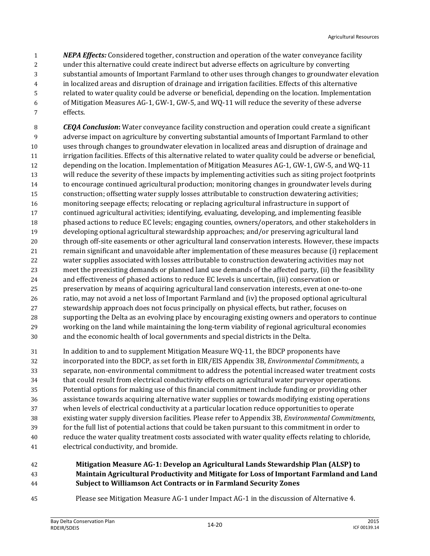*NEPA Effects:* Considered together, construction and operation of the water conveyance facility under this alternative could create indirect but adverse effects on agriculture by converting substantial amounts of Important Farmland to other uses through changes to groundwater elevation in localized areas and disruption of drainage and irrigation facilities. Effects of this alternative related to water quality could be adverse or beneficial, depending on the location. Implementation of Mitigation Measures AG-1, GW-1, GW-5, and WQ-11 will reduce the severity of these adverse effects.

**CEQA Conclusion:** Water conveyance facility construction and operation could create a significant adverse impact on agriculture by converting substantial amounts of Important Farmland to other uses through changes to groundwater elevation in localized areas and disruption of drainage and irrigation facilities. Effects of this alternative related to water quality could be adverse or beneficial, depending on the location. Implementation of Mitigation Measures AG-1, GW-1, GW-5, and WQ-11 will reduce the severity of these impacts by implementing activities such as siting project footprints to encourage continued agricultural production; monitoring changes in groundwater levels during construction; offsetting water supply losses attributable to construction dewatering activities; monitoring seepage effects; relocating or replacing agricultural infrastructure in support of continued agricultural activities; identifying, evaluating, developing, and implementing feasible phased actions to reduce EC levels; engaging counties, owners/operators, and other stakeholders in developing optional agricultural stewardship approaches; and/or preserving agricultural land through off-site easements or other agricultural land conservation interests. However, these impacts remain significant and unavoidable after implementation of these measures because (i) replacement water supplies associated with losses attributable to construction dewatering activities may not meet the preexisting demands or planned land use demands of the affected party, (ii) the feasibility and effectiveness of phased actions to reduce EC levels is uncertain, (iii) conservation or preservation by means of acquiring agricultural land conservation interests, even at one-to-one ratio, may not avoid a net loss of Important Farmland and (iv) the proposed optional agricultural stewardship approach does not focus principally on physical effects, but rather, focuses on supporting the Delta as an evolving place by encouraging existing owners and operators to continue working on the land while maintaining the long-term viability of regional agricultural economies and the economic health of local governments and special districts in the Delta.

 In addition to and to supplement Mitigation Measure WQ-11, the BDCP proponents have incorporated into the BDCP, as set forth in EIR/EIS Appendix 3B, *Environmental Commitments*, a separate, non-environmental commitment to address the potential increased water treatment costs that could result from electrical conductivity effects on agricultural water purveyor operations. Potential options for making use of this financial commitment include funding or providing other assistance towards acquiring alternative water supplies or towards modifying existing operations when levels of electrical conductivity at a particular location reduce opportunities to operate existing water supply diversion facilities. Please refer to Appendix 3B, *Environmental Commitments*, for the full list of potential actions that could be taken pursuant to this commitment in order to reduce the water quality treatment costs associated with water quality effects relating to chloride, electrical conductivity, and bromide.

#### **Mitigation Measure AG-1: Develop an Agricultural Lands Stewardship Plan (ALSP) to Maintain Agricultural Productivity and Mitigate for Loss of Important Farmland and Land Subject to Williamson Act Contracts or in Farmland Security Zones**

Please see Mitigation Measure AG-1 under Impact AG-1 in the discussion of Alternative 4.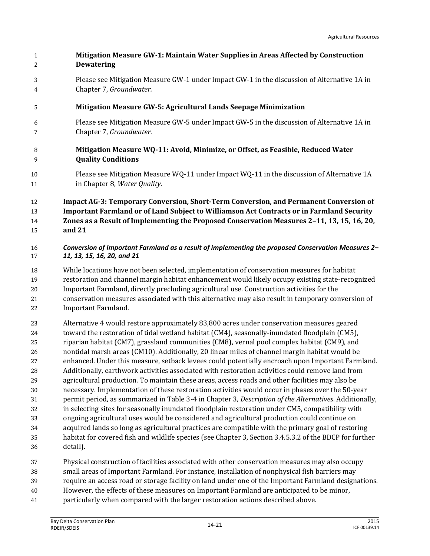**Mitigation Measure GW-1: Maintain Water Supplies in Areas Affected by Construction Dewatering** Please see Mitigation Measure GW-1 under Impact GW-1 in the discussion of Alternative 1A in Chapter 7, *Groundwater.* **Mitigation Measure GW-5: Agricultural Lands Seepage Minimization** Please see Mitigation Measure GW-5 under Impact GW-5 in the discussion of Alternative 1A in Chapter 7, *Groundwater.*  **Mitigation Measure WQ-11: Avoid, Minimize, or Offset, as Feasible, Reduced Water Quality Conditions** Please see Mitigation Measure WQ-11 under Impact WQ-11 in the discussion of Alternative 1A in Chapter 8, *Water Quality*. **Impact AG-3: Temporary Conversion, Short-Term Conversion, and Permanent Conversion of Important Farmland or of Land Subject to Williamson Act Contracts or in Farmland Security Zones as a Result of Implementing the Proposed Conservation Measures 2–11, 13, 15, 16, 20, and 21** *Conversion of Important Farmland as a result of implementing the proposed Conservation Measures 2– 11, 13, 15, 16, 20, and 21* While locations have not been selected, implementation of conservation measures for habitat restoration and channel margin habitat enhancement would likely occupy existing state-recognized Important Farmland, directly precluding agricultural use. Construction activities for the conservation measures associated with this alternative may also result in temporary conversion of Important Farmland. Alternative 4 would restore approximately 83,800 acres under conservation measures geared toward the restoration of tidal wetland habitat (CM4), seasonally-inundated floodplain (CM5), riparian habitat (CM7), grassland communities (CM8), vernal pool complex habitat (CM9), and nontidal marsh areas (CM10). Additionally, 20 linear miles of channel margin habitat would be enhanced. Under this measure, setback levees could potentially encroach upon Important Farmland. Additionally, earthwork activities associated with restoration activities could remove land from agricultural production. To maintain these areas, access roads and other facilities may also be necessary. Implementation of these restoration activities would occur in phases over the 50-year permit period, as summarized in Table 3-4 in Chapter 3, *Description of the Alternatives*. Additionally, in selecting sites for seasonally inundated floodplain restoration under CM5, compatibility with ongoing agricultural uses would be considered and agricultural production could continue on acquired lands so long as agricultural practices are compatible with the primary goal of restoring habitat for covered fish and wildlife species (see Chapter 3, Section 3.4.5.3.2 of the BDCP for further detail).

- Physical construction of facilities associated with other conservation measures may also occupy
- small areas of Important Farmland. For instance, installation of nonphysical fish barriers may
- require an access road or storage facility on land under one of the Important Farmland designations.
- However, the effects of these measures on Important Farmland are anticipated to be minor,
- particularly when compared with the larger restoration actions described above.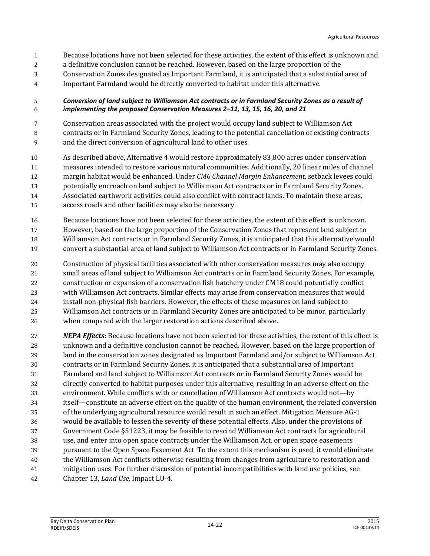- Because locations have not been selected for these activities, the extent of this effect is unknown and
- a definitive conclusion cannot be reached. However, based on the large proportion of the
- Conservation Zones designated as Important Farmland, it is anticipated that a substantial area of
- Important Farmland would be directly converted to habitat under this alternative.

#### *Conversion of land subject to Williamson Act contracts or in Farmland Security Zones as a result of implementing the proposed Conservation Measures 2–11, 13, 15, 16, 20, and 21*

- Conservation areas associated with the project would occupy land subject to Williamson Act contracts or in Farmland Security Zones, leading to the potential cancellation of existing contracts and the direct conversion of agricultural land to other uses.
- As described above, Alternative 4 would restore approximately 83,800 acres under conservation measures intended to restore various natural communities. Additionally, 20 linear miles of channel margin habitat would be enhanced. Under *CM6 Channel Margin Enhancement*, setback levees could potentially encroach on land subject to Williamson Act contracts or in Farmland Security Zones. Associated earthwork activities could also conflict with contract lands. To maintain these areas, access roads and other facilities may also be necessary.
- Because locations have not been selected for these activities, the extent of this effect is unknown.
- However, based on the large proportion of the Conservation Zones that represent land subject to
- Williamson Act contracts or in Farmland Security Zones, it is anticipated that this alternative would
- convert a substantial area of land subject to Williamson Act contracts or in Farmland Security Zones.
- Construction of physical facilities associated with other conservation measures may also occupy small areas of land subject to Williamson Act contracts or in Farmland Security Zones. For example, construction or expansion of a conservation fish hatchery under CM18 could potentially conflict with Williamson Act contracts. Similar effects may arise from conservation measures that would install non-physical fish barriers. However, the effects of these measures on land subject to Williamson Act contracts or in Farmland Security Zones are anticipated to be minor, particularly when compared with the larger restoration actions described above.
- *NEPA Effects:* Because locations have not been selected for these activities, the extent of this effect is unknown and a definitive conclusion cannot be reached. However, based on the large proportion of land in the conservation zones designated as Important Farmland and/or subject to Williamson Act contracts or in Farmland Security Zones, it is anticipated that a substantial area of Important Farmland and land subject to Williamson Act contracts or in Farmland Security Zones would be directly converted to habitat purposes under this alternative, resulting in an adverse effect on the environment. While conflicts with or cancellation of Williamson Act contracts would not—by itself—constitute an adverse effect on the quality of the human environment, the related conversion of the underlying agricultural resource would result in such an effect. Mitigation Measure AG-1 would be available to lessen the severity of these potential effects. Also, under the provisions of Government Code §51223, it may be feasible to rescind Williamson Act contracts for agricultural use, and enter into open space contracts under the Williamson Act, or open space easements pursuant to the Open Space Easement Act. To the extent this mechanism is used, it would eliminate the Williamson Act conflicts otherwise resulting from changes from agriculture to restoration and mitigation uses. For further discussion of potential incompatibilities with land use policies, see Chapter 13, *Land Use,* Impact LU-4.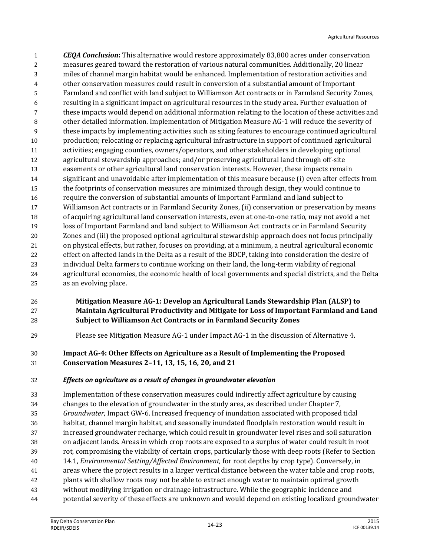*CEQA Conclusion***:** This alternative would restore approximately 83,800 acres under conservation measures geared toward the restoration of various natural communities. Additionally, 20 linear miles of channel margin habitat would be enhanced. Implementation of restoration activities and other conservation measures could result in conversion of a substantial amount of Important Farmland and conflict with land subject to Williamson Act contracts or in Farmland Security Zones, resulting in a significant impact on agricultural resources in the study area. Further evaluation of these impacts would depend on additional information relating to the location of these activities and other detailed information. Implementation of Mitigation Measure AG-1 will reduce the severity of these impacts by implementing activities such as siting features to encourage continued agricultural production; relocating or replacing agricultural infrastructure in support of continued agricultural activities; engaging counties, owners/operators, and other stakeholders in developing optional agricultural stewardship approaches; and/or preserving agricultural land through off-site easements or other agricultural land conservation interests. However, these impacts remain significant and unavoidable after implementation of this measure because (i) even after effects from the footprints of conservation measures are minimized through design, they would continue to require the conversion of substantial amounts of Important Farmland and land subject to Williamson Act contracts or in Farmland Security Zones, (ii) conservation or preservation by means of acquiring agricultural land conservation interests, even at one-to-one ratio, may not avoid a net loss of Important Farmland and land subject to Williamson Act contracts or in Farmland Security Zones and (iii) the proposed optional agricultural stewardship approach does not focus principally on physical effects, but rather, focuses on providing, at a minimum, a neutral agricultural economic effect on affected lands in the Delta as a result of the BDCP, taking into consideration the desire of individual Delta farmers to continue working on their land, the long-term viability of regional agricultural economies, the economic health of local governments and special districts, and the Delta as an evolving place.

#### **Mitigation Measure AG-1: Develop an Agricultural Lands Stewardship Plan (ALSP) to Maintain Agricultural Productivity and Mitigate for Loss of Important Farmland and Land Subject to Williamson Act Contracts or in Farmland Security Zones**

Please see Mitigation Measure AG-1 under Impact AG-1 in the discussion of Alternative 4.

# **Impact AG-4: Other Effects on Agriculture as a Result of Implementing the Proposed Conservation Measures 2–11, 13, 15, 16, 20, and 21**

*Effects on agriculture as a result of changes in groundwater elevation*

 Implementation of these conservation measures could indirectly affect agriculture by causing changes to the elevation of groundwater in the study area, as described under Chapter 7, *Groundwater*, Impact GW-6. Increased frequency of inundation associated with proposed tidal habitat, channel margin habitat, and seasonally inundated floodplain restoration would result in increased groundwater recharge, which could result in groundwater level rises and soil saturation on adjacent lands. Areas in which crop roots are exposed to a surplus of water could result in root rot, compromising the viability of certain crops, particularly those with deep roots (Refer to Section 14.1, *Environmental Setting/Affected Environment,* for root depths by crop type). Conversely, in areas where the project results in a larger vertical distance between the water table and crop roots, plants with shallow roots may not be able to extract enough water to maintain optimal growth without modifying irrigation or drainage infrastructure. While the geographic incidence and potential severity of these effects are unknown and would depend on existing localized groundwater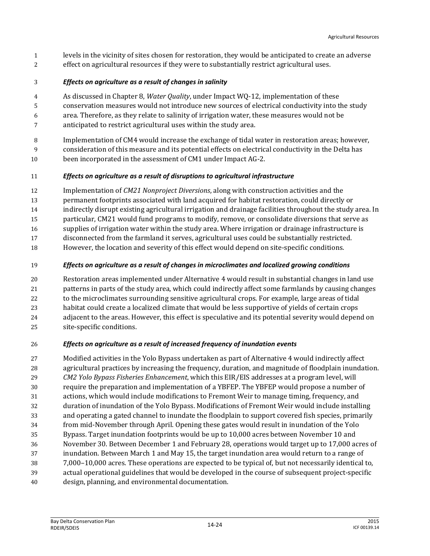levels in the vicinity of sites chosen for restoration, they would be anticipated to create an adverse effect on agricultural resources if they were to substantially restrict agricultural uses.

#### *Effects on agriculture as a result of changes in salinity*

- As discussed in Chapter 8, *Water Quality*, under Impact WQ-12, implementation of these
- conservation measures would not introduce new sources of electrical conductivity into the study
- area. Therefore, as they relate to salinity of irrigation water, these measures would not be
- anticipated to restrict agricultural uses within the study area.
- Implementation of CM4 would increase the exchange of tidal water in restoration areas; however, consideration of this measure and its potential effects on electrical conductivity in the Delta has
- 10 been incorporated in the assessment of CM1 under Impact AG-2.

# *Effects on agriculture as a result of disruptions to agricultural infrastructure*

- Implementation of *CM21 Nonproject Diversions*, along with construction activities and the
- permanent footprints associated with land acquired for habitat restoration, could directly or
- indirectly disrupt existing agricultural irrigation and drainage facilities throughout the study area. In
- particular, CM21 would fund programs to modify, remove, or consolidate diversions that serve as
- supplies of irrigation water within the study area. Where irrigation or drainage infrastructure is
- disconnected from the farmland it serves, agricultural uses could be substantially restricted.
- However, the location and severity of this effect would depend on site-specific conditions.

# *Effects on agriculture as a result of changes in microclimates and localized growing conditions*

- Restoration areas implemented under Alternative 4 would result in substantial changes in land use
- patterns in parts of the study area, which could indirectly affect some farmlands by causing changes
- to the microclimates surrounding sensitive agricultural crops. For example, large areas of tidal
- habitat could create a localized climate that would be less supportive of yields of certain crops
- adjacent to the areas. However, this effect is speculative and its potential severity would depend on
- site-specific conditions.

# *Effects on agriculture as a result of increased frequency of inundation events*

- Modified activities in the Yolo Bypass undertaken as part of Alternative 4 would indirectly affect agricultural practices by increasing the frequency, duration, and magnitude of floodplain inundation. *CM2 Yolo Bypass Fisheries Enhancement*, which this EIR/EIS addresses at a program level, will require the preparation and implementation of a YBFEP. The YBFEP would propose a number of actions, which would include modifications to Fremont Weir to manage timing, frequency, and duration of inundation of the Yolo Bypass. Modifications of Fremont Weir would include installing and operating a gated channel to inundate the floodplain to support covered fish species, primarily from mid-November through April. Opening these gates would result in inundation of the Yolo Bypass. Target inundation footprints would be up to 10,000 acres between November 10 and November 30. Between December 1 and February 28, operations would target up to 17,000 acres of inundation. Between March 1 and May 15, the target inundation area would return to a range of 7,000–10,000 acres. These operations are expected to be typical of, but not necessarily identical to, actual operational guidelines that would be developed in the course of subsequent project-specific
- design, planning, and environmental documentation.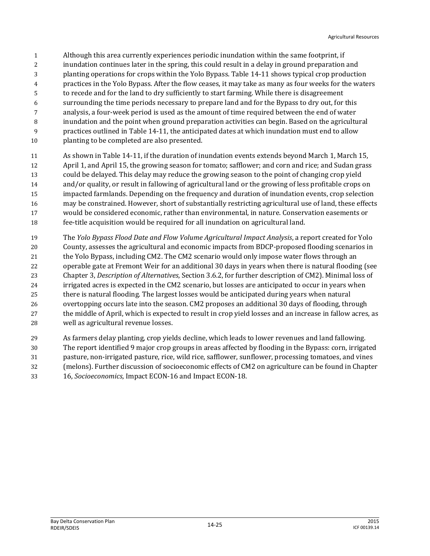- Although this area currently experiences periodic inundation within the same footprint, if
- inundation continues later in the spring, this could result in a delay in ground preparation and
- planting operations for crops within the Yolo Bypass. Table 14-11 shows typical crop production
- practices in the Yolo Bypass. After the flow ceases, it may take as many as four weeks for the waters
- to recede and for the land to dry sufficiently to start farming. While there is disagreement
- surrounding the time periods necessary to prepare land and for the Bypass to dry out, for this
- analysis, a four-week period is used as the amount of time required between the end of water inundation and the point when ground preparation activities can begin. Based on the agricultural
- practices outlined in Table 14-11, the anticipated dates at which inundation must end to allow
- planting to be completed are also presented.
- As shown in Table 14-11, if the duration of inundation events extends beyond March 1, March 15, April 1, and April 15, the growing season for tomato; safflower; and corn and rice; and Sudan grass could be delayed. This delay may reduce the growing season to the point of changing crop yield and/or quality, or result in fallowing of agricultural land or the growing of less profitable crops on impacted farmlands. Depending on the frequency and duration of inundation events, crop selection may be constrained. However, short of substantially restricting agricultural use of land, these effects would be considered economic, rather than environmental, in nature. Conservation easements or fee-title acquisition would be required for all inundation on agricultural land.
- The *Yolo Bypass Flood Date and Flow Volume Agricultural Impact Analysis*, a report created for Yolo County, assesses the agricultural and economic impacts from BDCP-proposed flooding scenarios in the Yolo Bypass, including CM2. The CM2 scenario would only impose water flows through an operable gate at Fremont Weir for an additional 30 days in years when there is natural flooding (see Chapter 3, *Description of Alternatives*, Section 3.6.2, for further description of CM2). Minimal loss of irrigated acres is expected in the CM2 scenario, but losses are anticipated to occur in years when there is natural flooding. The largest losses would be anticipated during years when natural overtopping occurs late into the season. CM2 proposes an additional 30 days of flooding, through the middle of April, which is expected to result in crop yield losses and an increase in fallow acres, as well as agricultural revenue losses.
- As farmers delay planting, crop yields decline, which leads to lower revenues and land fallowing. The report identified 9 major crop groups in areas affected by flooding in the Bypass: corn, irrigated pasture, non-irrigated pasture, rice, wild rice, safflower, sunflower, processing tomatoes, and vines (melons). Further discussion of socioeconomic effects of CM2 on agriculture can be found in Chapter
- 16, *Socioeconomics*, Impact ECON-16 and Impact ECON-18.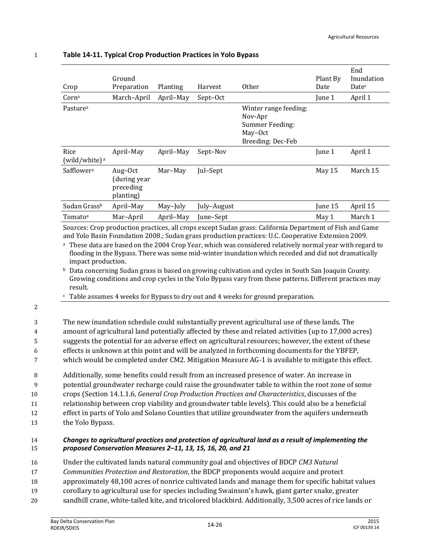| Crop                              | Ground<br>Preparation                             | Planting  | Harvest     | <b>Other</b>                                                                        | Plant By<br>Date | End<br>Inundation<br>Datec |
|-----------------------------------|---------------------------------------------------|-----------|-------------|-------------------------------------------------------------------------------------|------------------|----------------------------|
| Corna                             | March-April                                       | April-May | Sept-Oct    |                                                                                     | June 1           | April 1                    |
| Pasture <sup>a</sup>              |                                                   |           |             | Winter range feeding:<br>Nov-Apr<br>Summer Feeding:<br>May-Oct<br>Breeding: Dec-Feb |                  |                            |
| Rice<br>(wild/white) <sup>a</sup> | April–May                                         | April–May | Sept-Nov    |                                                                                     | June 1           | April 1                    |
| Safflower <sup>a</sup>            | Aug-Oct<br>(during year<br>preceding<br>planting) | Mar-May   | Jul-Sept    |                                                                                     | May 15           | March 15                   |
| Sudan Grassb                      | April-May                                         | May-July  | July-August |                                                                                     | June 15          | April 15                   |
| Tomato <sup>a</sup>               | Mar-April                                         | April-May | June-Sept   |                                                                                     | May 1            | March 1                    |

#### 1 **Table 14-11. Typical Crop Production Practices in Yolo Bypass**

Sources: Crop production practices, all crops except Sudan grass: California Department of Fish and Game and Yolo Basin Foundation 2008.; Sudan grass production practices: U.C. Cooperative Extension 2009.

<sup>a</sup> These data are based on the 2004 Crop Year, which was considered relatively normal year with regard to flooding in the Bypass. There was some mid-winter inundation which receded and did not dramatically impact production.

<sup>b</sup> Data concerning Sudan grass is based on growing cultivation and cycles in South San Joaquin County. Growing conditions and crop cycles in the Yolo Bypass vary from these patterns. Different practices may result.

 $\epsilon$  Table assumes 4 weeks for Bypass to dry out and 4 weeks for ground preparation.

2

3 The new inundation schedule could substantially prevent agricultural use of these lands. The

4 amount of agricultural land potentially affected by these and related activities (up to 17,000 acres)

5 suggests the potential for an adverse effect on agricultural resources; however, the extent of these

6 effects is unknown at this point and will be analyzed in forthcoming documents for the YBFEP,

7 which would be completed under CM2. Mitigation Measure AG-1 is available to mitigate this effect.

 Additionally, some benefits could result from an increased presence of water. An increase in potential groundwater recharge could raise the groundwater table to within the root zone of some crops (Section 14.1.1.6, *General Crop Production Practices and Characteristics*, discusses of the relationship between crop viability and groundwater table levels). This could also be a beneficial effect in parts of Yolo and Solano Counties that utilize groundwater from the aquifers underneath

13 the Yolo Bypass.

#### 14 *Changes to agricultural practices and protection of agricultural land as a result of implementing the*  15 *proposed Conservation Measures 2–11, 13, 15, 16, 20, and 21*

- 16 Under the cultivated lands natural community goal and objectives of BDCP *CM3 Natural*
- 17 *Communities Protection and Restoration*, the BDCP proponents would acquire and protect
- 18 approximately 48,100 acres of nonrice cultivated lands and manage them for specific habitat values
- 19 corollary to agricultural use for species including Swainson's hawk, giant garter snake, greater
- 20 sandhill crane, white-tailed kite, and tricolored blackbird. Additionally, 3,500 acres of rice lands or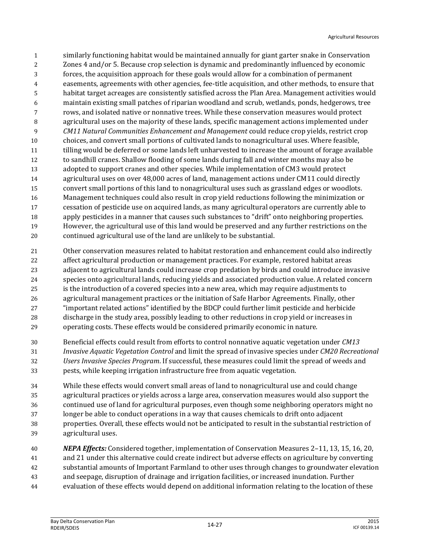similarly functioning habitat would be maintained annually for giant garter snake in Conservation Zones 4 and/or 5. Because crop selection is dynamic and predominantly influenced by economic forces, the acquisition approach for these goals would allow for a combination of permanent easements, agreements with other agencies, fee-title acquisition, and other methods, to ensure that habitat target acreages are consistently satisfied across the Plan Area. Management activities would maintain existing small patches of riparian woodland and scrub, wetlands, ponds, hedgerows, tree rows, and isolated native or nonnative trees. While these conservation measures would protect agricultural uses on the majority of these lands, specific management actions implemented under *CM11 Natural Communities Enhancement and Management* could reduce crop yields, restrict crop choices, and convert small portions of cultivated lands to nonagricultural uses. Where feasible, tilling would be deferred or some lands left unharvested to increase the amount of forage available to sandhill cranes. Shallow flooding of some lands during fall and winter months may also be adopted to support cranes and other species. While implementation of CM3 would protect agricultural uses on over 48,000 acres of land, management actions under CM11 could directly convert small portions of this land to nonagricultural uses such as grassland edges or woodlots. Management techniques could also result in crop yield reductions following the minimization or cessation of pesticide use on acquired lands, as many agricultural operators are currently able to apply pesticides in a manner that causes such substances to "drift" onto neighboring properties. However, the agricultural use of this land would be preserved and any further restrictions on the continued agricultural use of the land are unlikely to be substantial.

- Other conservation measures related to habitat restoration and enhancement could also indirectly affect agricultural production or management practices. For example, restored habitat areas adjacent to agricultural lands could increase crop predation by birds and could introduce invasive species onto agricultural lands, reducing yields and associated production value. A related concern is the introduction of a covered species into a new area, which may require adjustments to agricultural management practices or the initiation of Safe Harbor Agreements. Finally, other "important related actions" identified by the BDCP could further limit pesticide and herbicide discharge in the study area, possibly leading to other reductions in crop yield or increases in operating costs. These effects would be considered primarily economic in nature.
- Beneficial effects could result from efforts to control nonnative aquatic vegetation under *CM13 Invasive Aquatic Vegetation Control* and limit the spread of invasive species under *CM20 Recreational Users Invasive Species Program*. If successful, these measures could limit the spread of weeds and pests, while keeping irrigation infrastructure free from aquatic vegetation.
- While these effects would convert small areas of land to nonagricultural use and could change agricultural practices or yields across a large area, conservation measures would also support the continued use of land for agricultural purposes, even though some neighboring operators might no longer be able to conduct operations in a way that causes chemicals to drift onto adjacent properties. Overall, these effects would not be anticipated to result in the substantial restriction of agricultural uses.
- *NEPA Effects:* Considered together, implementation of Conservation Measures 2–11, 13, 15, 16, 20, and 21 under this alternative could create indirect but adverse effects on agriculture by converting substantial amounts of Important Farmland to other uses through changes to groundwater elevation and seepage, disruption of drainage and irrigation facilities, or increased inundation. Further evaluation of these effects would depend on additional information relating to the location of these